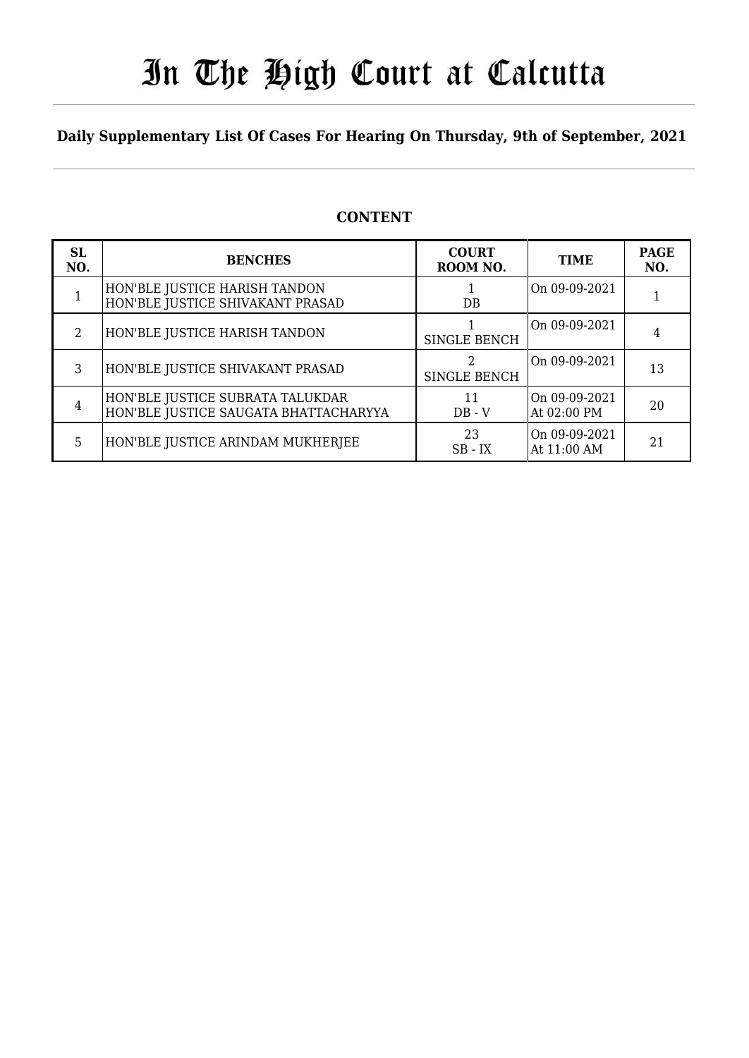# In The High Court at Calcutta

### **Daily Supplementary List Of Cases For Hearing On Thursday, 9th of September, 2021**

### **CONTENT**

| <b>SL</b><br>NO. | <b>BENCHES</b>                                                            | <b>COURT</b><br>ROOM NO. | <b>TIME</b>                  | <b>PAGE</b><br>NO. |
|------------------|---------------------------------------------------------------------------|--------------------------|------------------------------|--------------------|
|                  | HON'BLE JUSTICE HARISH TANDON<br>HON'BLE JUSTICE SHIVAKANT PRASAD         | $DB$                     | On 09-09-2021                |                    |
| 2                | HON'BLE JUSTICE HARISH TANDON                                             | <b>SINGLE BENCH</b>      | On 09-09-2021                | 4                  |
| 3                | HON'BLE JUSTICE SHIVAKANT PRASAD                                          | <b>SINGLE BENCH</b>      | On 09-09-2021                | 13                 |
| 4                | HON'BLE JUSTICE SUBRATA TALUKDAR<br>HON'BLE JUSTICE SAUGATA BHATTACHARYYA | 11<br>$DB - V$           | On 09-09-2021<br>At 02:00 PM | 20                 |
| 5                | HON'BLE JUSTICE ARINDAM MUKHERJEE                                         | 23<br>$SB - IX$          | On 09-09-2021<br>At 11:00 AM | 21                 |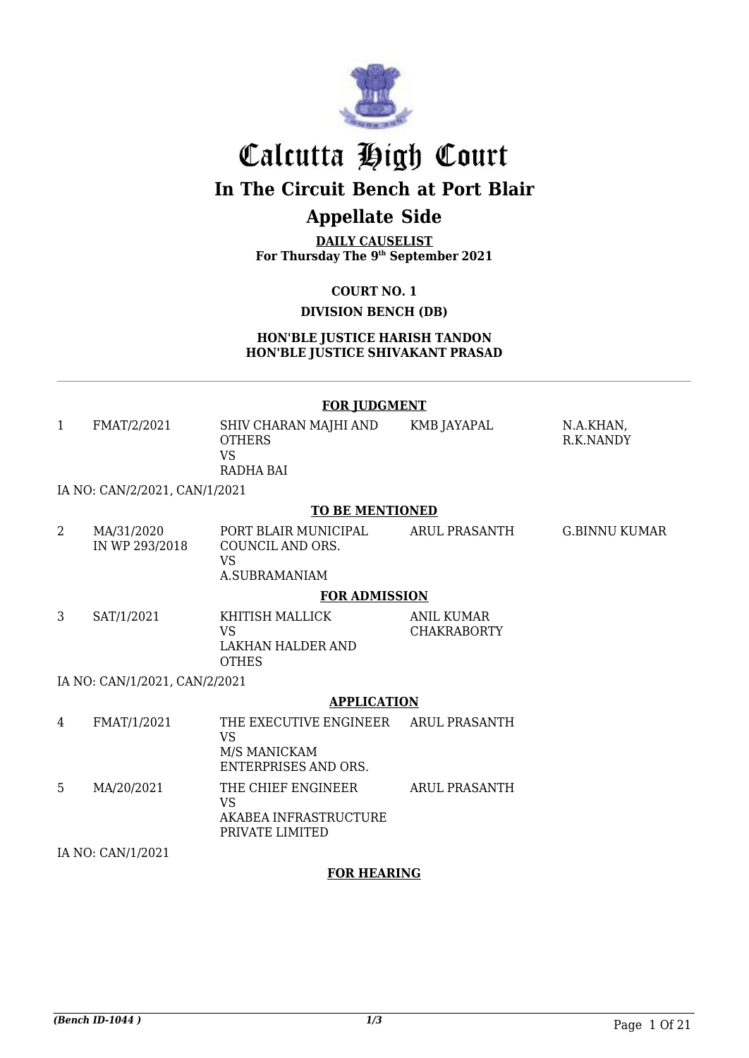

# Calcutta High Court

## **In The Circuit Bench at Port Blair**

## **Appellate Side**

**DAILY CAUSELIST For Thursday The 9 th September 2021**

**COURT NO. 1**

### **DIVISION BENCH (DB)**

**HON'BLE JUSTICE HARISH TANDON HON'BLE JUSTICE SHIVAKANT PRASAD**

#### **FOR JUDGMENT**

| 1              | FMAT/2/2021                   | SHIV CHARAN MAJHI AND<br><b>OTHERS</b><br><b>VS</b><br><b>RADHA BAI</b>                          | KMB JAYAPAL                      | N.A.KHAN,<br>R.K.NANDY |
|----------------|-------------------------------|--------------------------------------------------------------------------------------------------|----------------------------------|------------------------|
|                | IA NO: CAN/2/2021, CAN/1/2021 |                                                                                                  |                                  |                        |
|                |                               | <b>TO BE MENTIONED</b>                                                                           |                                  |                        |
| $\overline{2}$ | MA/31/2020<br>IN WP 293/2018  | PORT BLAIR MUNICIPAL<br>COUNCIL AND ORS.<br><b>VS</b><br>A.SUBRAMANIAM                           | ARUL PRASANTH                    | G.BINNU KUMAR          |
|                |                               | <b>FOR ADMISSION</b>                                                                             |                                  |                        |
| 3              | SAT/1/2021                    | KHITISH MALLICK<br><b>VS</b><br>LAKHAN HALDER AND<br><b>OTHES</b>                                | ANIL KUMAR<br><b>CHAKRABORTY</b> |                        |
|                | IA NO: CAN/1/2021, CAN/2/2021 |                                                                                                  |                                  |                        |
|                |                               | <b>APPLICATION</b>                                                                               |                                  |                        |
| 4              | FMAT/1/2021                   | THE EXECUTIVE ENGINEER ARUL PRASANTH<br><b>VS</b><br>M/S MANICKAM<br><b>ENTERPRISES AND ORS.</b> |                                  |                        |
| 5              | MA/20/2021                    | THE CHIEF ENGINEER<br><b>VS</b><br>AKABEA INFRASTRUCTURE<br>PRIVATE LIMITED                      | <b>ARUL PRASANTH</b>             |                        |
|                | IA NO: CAN/1/2021             |                                                                                                  |                                  |                        |

**FOR HEARING**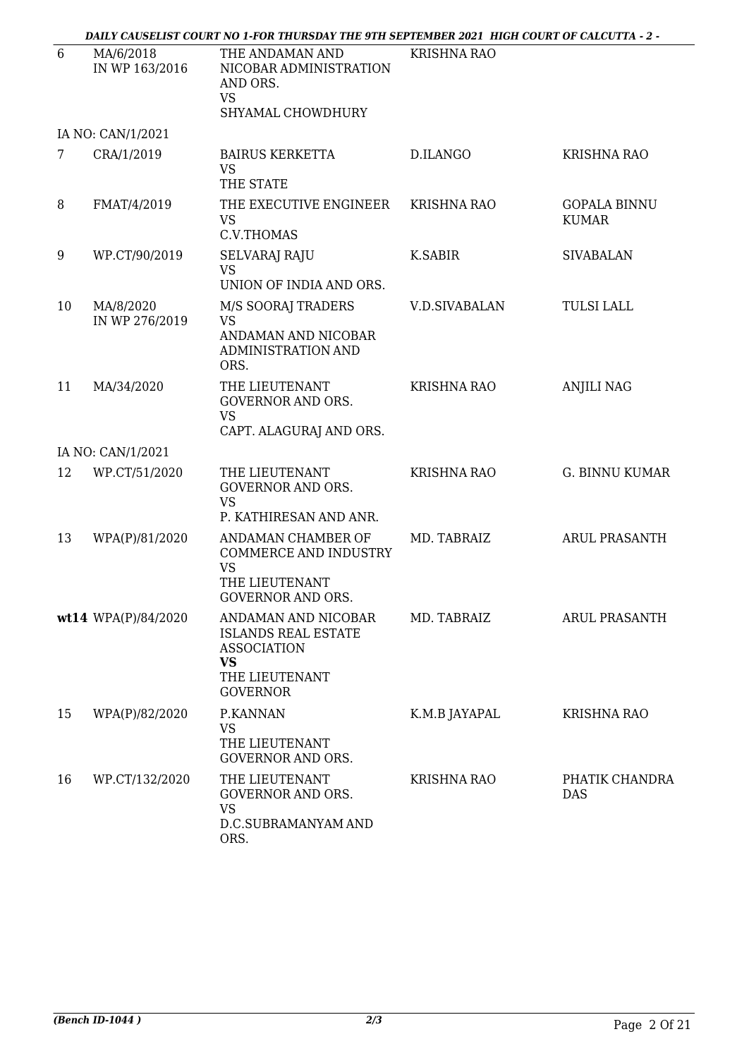|    |                             | - DAILY CAUSELIST COURT NO 1-FOR THURSDAY THE 9TH SEPTEMBER 2021 HIGH COURT OF CALCUTTA - 2                               |                      |                                     |
|----|-----------------------------|---------------------------------------------------------------------------------------------------------------------------|----------------------|-------------------------------------|
| 6  | MA/6/2018<br>IN WP 163/2016 | THE ANDAMAN AND<br>NICOBAR ADMINISTRATION<br>AND ORS.<br><b>VS</b><br>SHYAMAL CHOWDHURY                                   | <b>KRISHNA RAO</b>   |                                     |
|    | IA NO: CAN/1/2021           |                                                                                                                           |                      |                                     |
| 7  | CRA/1/2019                  | <b>BAIRUS KERKETTA</b><br><b>VS</b><br>THE STATE                                                                          | D.ILANGO             | <b>KRISHNA RAO</b>                  |
| 8  | FMAT/4/2019                 | THE EXECUTIVE ENGINEER<br><b>VS</b><br>C.V.THOMAS                                                                         | <b>KRISHNA RAO</b>   | <b>GOPALA BINNU</b><br><b>KUMAR</b> |
| 9  | WP.CT/90/2019               | SELVARAJ RAJU<br><b>VS</b><br>UNION OF INDIA AND ORS.                                                                     | <b>K.SABIR</b>       | <b>SIVABALAN</b>                    |
| 10 | MA/8/2020<br>IN WP 276/2019 | M/S SOORAJ TRADERS<br><b>VS</b><br>ANDAMAN AND NICOBAR<br>ADMINISTRATION AND<br>ORS.                                      | <b>V.D.SIVABALAN</b> | <b>TULSI LALL</b>                   |
| 11 | MA/34/2020                  | THE LIEUTENANT<br><b>GOVERNOR AND ORS.</b><br><b>VS</b><br>CAPT. ALAGURAJ AND ORS.                                        | <b>KRISHNA RAO</b>   | <b>ANJILI NAG</b>                   |
|    | IA NO: CAN/1/2021           |                                                                                                                           |                      |                                     |
| 12 | WP.CT/51/2020               | THE LIEUTENANT<br><b>GOVERNOR AND ORS.</b><br><b>VS</b><br>P. KATHIRESAN AND ANR.                                         | <b>KRISHNA RAO</b>   | <b>G. BINNU KUMAR</b>               |
| 13 | WPA(P)/81/2020              | ANDAMAN CHAMBER OF<br><b>COMMERCE AND INDUSTRY</b><br><b>VS</b><br>THE LIEUTENANT<br><b>GOVERNOR AND ORS.</b>             | MD. TABRAIZ          | <b>ARUL PRASANTH</b>                |
|    | wt14 WPA(P)/84/2020         | ANDAMAN AND NICOBAR<br><b>ISLANDS REAL ESTATE</b><br><b>ASSOCIATION</b><br><b>VS</b><br>THE LIEUTENANT<br><b>GOVERNOR</b> | MD. TABRAIZ          | ARUL PRASANTH                       |
| 15 | WPA(P)/82/2020              | P.KANNAN<br><b>VS</b><br>THE LIEUTENANT<br><b>GOVERNOR AND ORS.</b>                                                       | K.M.B JAYAPAL        | <b>KRISHNA RAO</b>                  |
| 16 | WP.CT/132/2020              | THE LIEUTENANT<br><b>GOVERNOR AND ORS.</b><br><b>VS</b><br>D.C.SUBRAMANYAM AND<br>ORS.                                    | KRISHNA RAO          | PHATIK CHANDRA<br><b>DAS</b>        |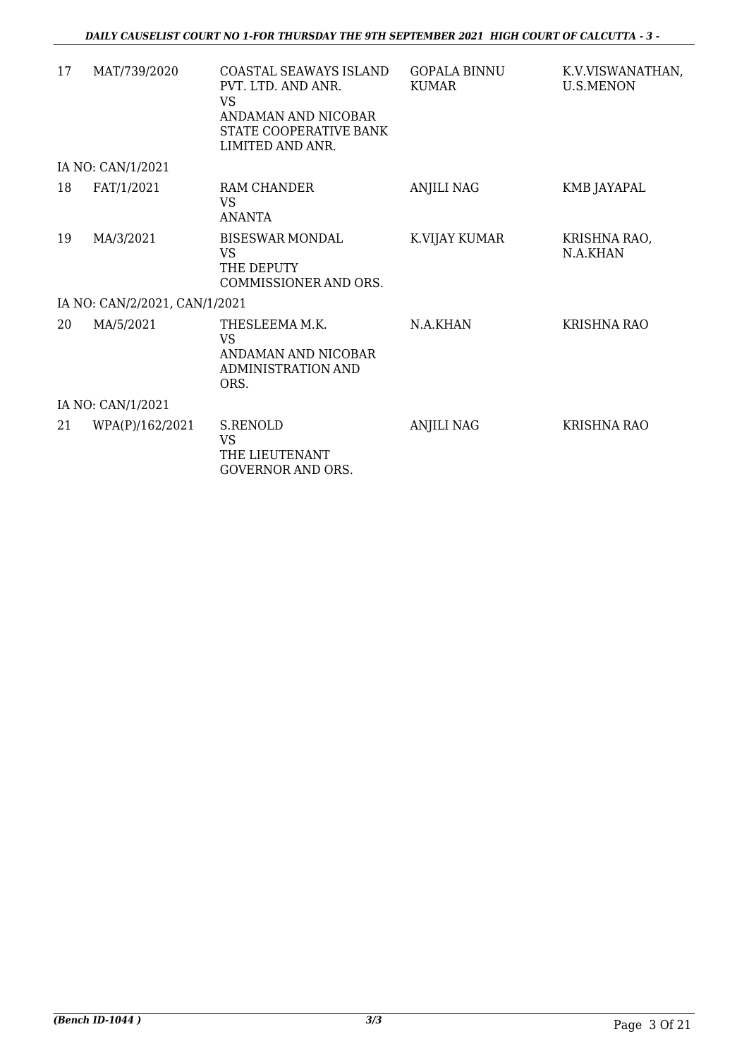| 17 | MAT/739/2020                  | COASTAL SEAWAYS ISLAND<br>PVT. LTD. AND ANR.<br><b>VS</b><br>ANDAMAN AND NICOBAR<br>STATE COOPERATIVE BANK<br>LIMITED AND ANR. | <b>GOPALA BINNU</b><br><b>KUMAR</b> | K.V.VISWANATHAN,<br><b>U.S.MENON</b> |
|----|-------------------------------|--------------------------------------------------------------------------------------------------------------------------------|-------------------------------------|--------------------------------------|
|    | IA NO: CAN/1/2021             |                                                                                                                                |                                     |                                      |
| 18 | FAT/1/2021                    | <b>RAM CHANDER</b><br><b>VS</b><br><b>ANANTA</b>                                                                               | <b>ANJILI NAG</b>                   | KMB JAYAPAL                          |
| 19 | MA/3/2021                     | <b>BISESWAR MONDAL</b><br><b>VS</b><br>THE DEPUTY<br>COMMISSIONER AND ORS.                                                     | K.VIJAY KUMAR                       | KRISHNA RAO,<br>N.A.KHAN             |
|    | IA NO: CAN/2/2021, CAN/1/2021 |                                                                                                                                |                                     |                                      |
| 20 | MA/5/2021                     | THESLEEMA M.K.<br><b>VS</b><br>ANDAMAN AND NICOBAR<br>ADMINISTRATION AND<br>ORS.                                               | N.A.KHAN                            | <b>KRISHNA RAO</b>                   |
|    | IA NO: CAN/1/2021             |                                                                                                                                |                                     |                                      |
| 21 | WPA(P)/162/2021               | S.RENOLD<br><b>VS</b><br>THE LIEUTENANT<br>GOVERNOR AND ORS.                                                                   | <b>ANJILI NAG</b>                   | KRISHNA RAO                          |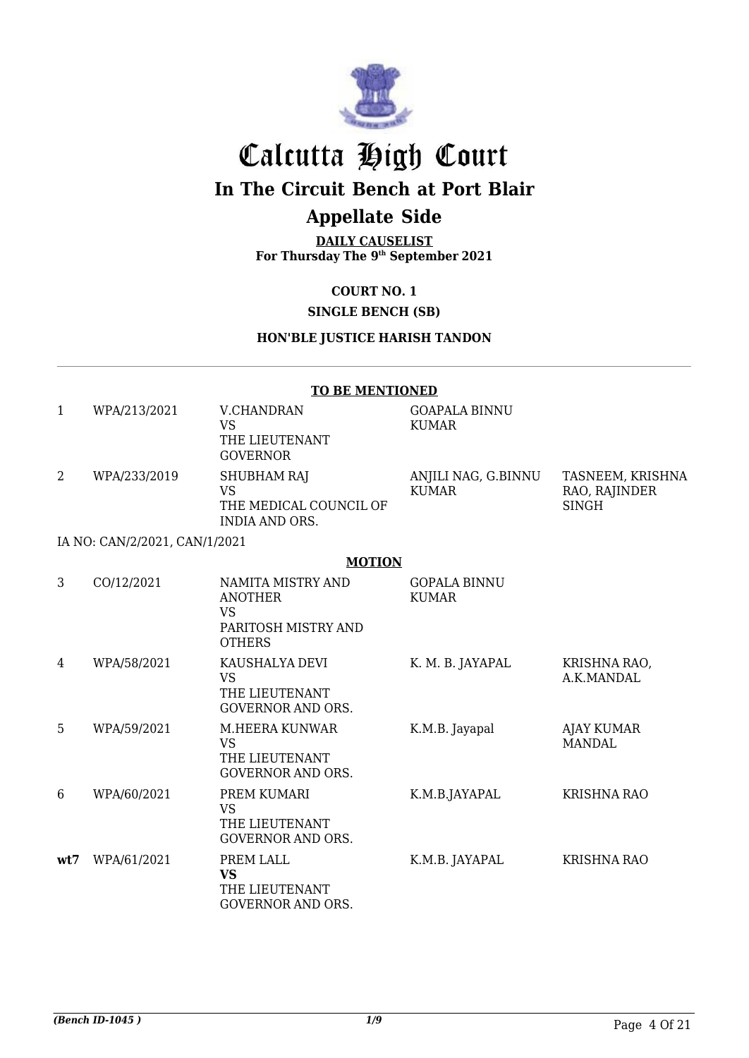

# Calcutta High Court

## **In The Circuit Bench at Port Blair**

## **Appellate Side**

**DAILY CAUSELIST For Thursday The 9 th September 2021**

### **COURT NO. 1**

### **SINGLE BENCH (SB)**

#### **HON'BLE JUSTICE HARISH TANDON**

#### **TO BE MENTIONED**

| WPA/213/2021                                                                                                                              | V.CHANDRAN<br>VS<br>THE LIEUTENANT<br><b>GOVERNOR</b>                | <b>GOAPALA BINNU</b><br>KUMAR |                                                   |
|-------------------------------------------------------------------------------------------------------------------------------------------|----------------------------------------------------------------------|-------------------------------|---------------------------------------------------|
| WPA/233/2019                                                                                                                              | <b>SHUBHAM RAJ</b><br>VS<br>THE MEDICAL COUNCIL OF<br>INDIA AND ORS. | ANJILI NAG, G.BINNU<br>KUMAR  | TASNEEM, KRISHNA<br>RAO, RAJINDER<br><b>SINGH</b> |
| $\overline{11}$ $\overline{10}$ $\overline{01}$ $\overline{110}$ $\overline{10001}$ $\overline{0111}$ $\overline{111}$ $\overline{10001}$ |                                                                      |                               |                                                   |

#### IA NO: CAN/2/2021, CAN/1/2021

#### **MOTION**

| 3   | CO/12/2021  | NAMITA MISTRY AND<br><b>ANOTHER</b><br>VS<br>PARITOSH MISTRY AND<br><b>OTHERS</b> | <b>GOPALA BINNU</b><br>KUMAR |                             |
|-----|-------------|-----------------------------------------------------------------------------------|------------------------------|-----------------------------|
| 4   | WPA/58/2021 | KAUSHALYA DEVI<br>VS.<br>THE LIEUTENANT<br><b>GOVERNOR AND ORS.</b>               | K. M. B. JAYAPAL             | KRISHNA RAO,<br>A.K.MANDAL  |
| 5   | WPA/59/2021 | M.HEERA KUNWAR<br>VS.<br>THE LIEUTENANT<br><b>GOVERNOR AND ORS.</b>               | K.M.B. Jayapal               | <b>AJAY KUMAR</b><br>MANDAL |
| 6   | WPA/60/2021 | PREM KUMARI<br>VS.<br>THE LIEUTENANT<br><b>GOVERNOR AND ORS.</b>                  | K.M.B.JAYAPAL                | KRISHNA RAO                 |
| wt7 | WPA/61/2021 | PREM LALL<br>VS.<br>THE LIEUTENANT<br><b>GOVERNOR AND ORS.</b>                    | K.M.B. JAYAPAL               | <b>KRISHNA RAO</b>          |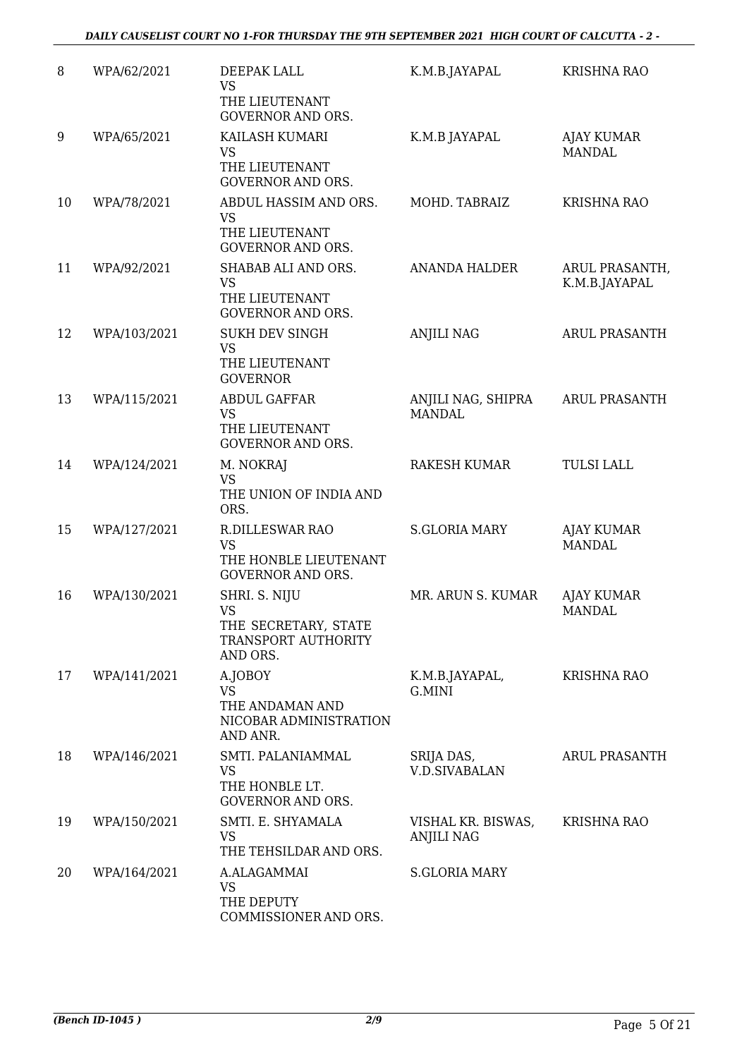| 8  | WPA/62/2021  | DEEPAK LALL<br><b>VS</b>                                                                 | K.M.B.JAYAPAL                           | <b>KRISHNA RAO</b>                 |
|----|--------------|------------------------------------------------------------------------------------------|-----------------------------------------|------------------------------------|
|    |              | THE LIEUTENANT<br><b>GOVERNOR AND ORS.</b>                                               |                                         |                                    |
| 9  | WPA/65/2021  | KAILASH KUMARI<br><b>VS</b><br>THE LIEUTENANT<br><b>GOVERNOR AND ORS.</b>                | K.M.B JAYAPAL                           | AJAY KUMAR<br><b>MANDAL</b>        |
| 10 | WPA/78/2021  | ABDUL HASSIM AND ORS.<br><b>VS</b><br>THE LIEUTENANT<br><b>GOVERNOR AND ORS.</b>         | MOHD. TABRAIZ                           | <b>KRISHNA RAO</b>                 |
| 11 | WPA/92/2021  | SHABAB ALI AND ORS.<br><b>VS</b><br>THE LIEUTENANT<br><b>GOVERNOR AND ORS.</b>           | <b>ANANDA HALDER</b>                    | ARUL PRASANTH,<br>K.M.B.JAYAPAL    |
| 12 | WPA/103/2021 | <b>SUKH DEV SINGH</b><br><b>VS</b><br>THE LIEUTENANT<br><b>GOVERNOR</b>                  | <b>ANJILI NAG</b>                       | <b>ARUL PRASANTH</b>               |
| 13 | WPA/115/2021 | <b>ABDUL GAFFAR</b><br><b>VS</b><br>THE LIEUTENANT<br><b>GOVERNOR AND ORS.</b>           | ANJILI NAG, SHIPRA<br><b>MANDAL</b>     | <b>ARUL PRASANTH</b>               |
| 14 | WPA/124/2021 | M. NOKRAJ<br><b>VS</b><br>THE UNION OF INDIA AND<br>ORS.                                 | <b>RAKESH KUMAR</b>                     | <b>TULSI LALL</b>                  |
| 15 | WPA/127/2021 | <b>R.DILLESWAR RAO</b><br><b>VS</b><br>THE HONBLE LIEUTENANT<br><b>GOVERNOR AND ORS.</b> | <b>S.GLORIA MARY</b>                    | AJAY KUMAR<br><b>MANDAL</b>        |
| 16 | WPA/130/2021 | SHRI. S. NIJU<br><b>VS</b><br>THE SECRETARY, STATE<br>TRANSPORT AUTHORITY<br>AND ORS.    | MR. ARUN S. KUMAR                       | <b>AJAY KUMAR</b><br><b>MANDAL</b> |
| 17 | WPA/141/2021 | A.JOBOY<br><b>VS</b><br>THE ANDAMAN AND<br>NICOBAR ADMINISTRATION<br>AND ANR.            | K.M.B.JAYAPAL,<br>G.MINI                | <b>KRISHNA RAO</b>                 |
| 18 | WPA/146/2021 | SMTI. PALANIAMMAL<br>VS<br>THE HONBLE LT.<br><b>GOVERNOR AND ORS.</b>                    | SRIJA DAS,<br><b>V.D.SIVABALAN</b>      | ARUL PRASANTH                      |
| 19 | WPA/150/2021 | SMTI. E. SHYAMALA<br><b>VS</b><br>THE TEHSILDAR AND ORS.                                 | VISHAL KR. BISWAS,<br><b>ANJILI NAG</b> | <b>KRISHNA RAO</b>                 |
| 20 | WPA/164/2021 | A.ALAGAMMAI<br><b>VS</b><br>THE DEPUTY<br>COMMISSIONER AND ORS.                          | <b>S.GLORIA MARY</b>                    |                                    |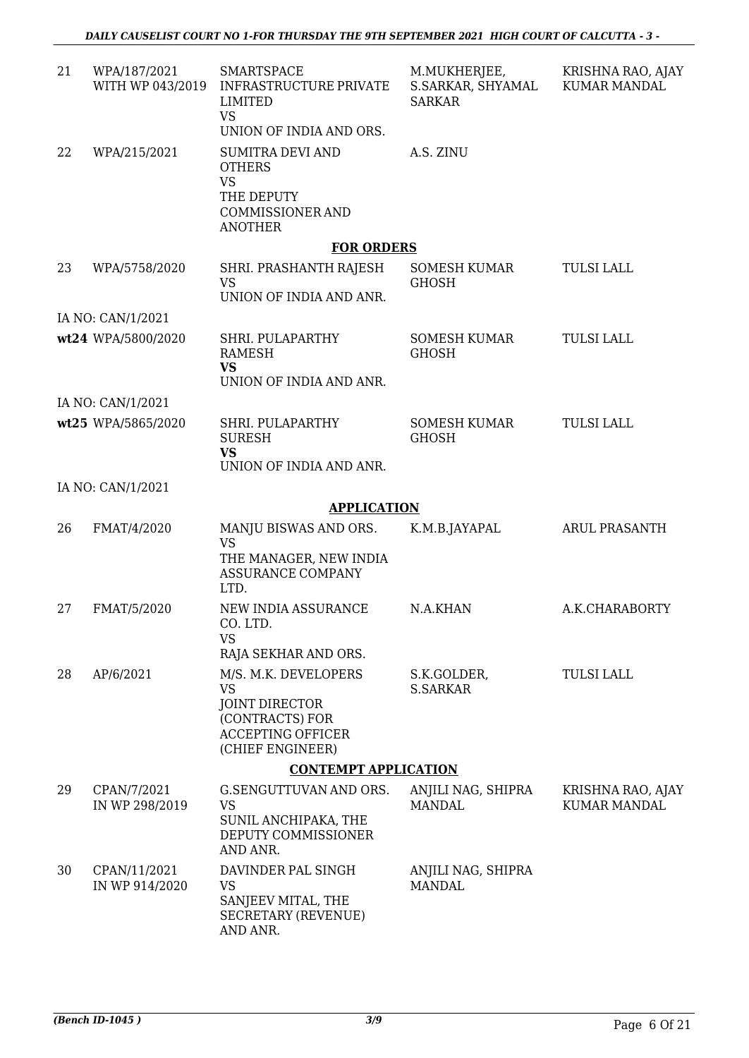| 21 | WPA/187/2021<br>WITH WP 043/2019 | <b>SMARTSPACE</b><br><b>INFRASTRUCTURE PRIVATE</b><br><b>LIMITED</b><br><b>VS</b><br>UNION OF INDIA AND ORS.                  | M.MUKHERJEE,<br>S.SARKAR, SHYAMAL<br><b>SARKAR</b> | KRISHNA RAO, AJAY<br><b>KUMAR MANDAL</b> |
|----|----------------------------------|-------------------------------------------------------------------------------------------------------------------------------|----------------------------------------------------|------------------------------------------|
| 22 | WPA/215/2021                     | <b>SUMITRA DEVI AND</b><br><b>OTHERS</b><br>VS<br>THE DEPUTY<br><b>COMMISSIONER AND</b><br><b>ANOTHER</b>                     | A.S. ZINU                                          |                                          |
|    |                                  | <b>FOR ORDERS</b>                                                                                                             |                                                    |                                          |
| 23 | WPA/5758/2020                    | SHRI. PRASHANTH RAJESH<br><b>VS</b><br>UNION OF INDIA AND ANR.                                                                | <b>SOMESH KUMAR</b><br><b>GHOSH</b>                | <b>TULSI LALL</b>                        |
|    | IA NO: CAN/1/2021                |                                                                                                                               |                                                    |                                          |
|    | wt24 WPA/5800/2020               | SHRI. PULAPARTHY<br><b>RAMESH</b><br><b>VS</b>                                                                                | <b>SOMESH KUMAR</b><br><b>GHOSH</b>                | <b>TULSI LALL</b>                        |
|    |                                  | UNION OF INDIA AND ANR.                                                                                                       |                                                    |                                          |
|    | IA NO: CAN/1/2021                |                                                                                                                               |                                                    |                                          |
|    | wt25 WPA/5865/2020               | SHRI. PULAPARTHY<br><b>SURESH</b><br>VS<br>UNION OF INDIA AND ANR.                                                            | <b>SOMESH KUMAR</b><br><b>GHOSH</b>                | <b>TULSI LALL</b>                        |
|    | IA NO: CAN/1/2021                |                                                                                                                               |                                                    |                                          |
|    |                                  | <b>APPLICATION</b>                                                                                                            |                                                    |                                          |
| 26 | FMAT/4/2020                      | MANJU BISWAS AND ORS.<br><b>VS</b><br>THE MANAGER, NEW INDIA<br><b>ASSURANCE COMPANY</b><br>LTD.                              | K.M.B.JAYAPAL                                      | <b>ARUL PRASANTH</b>                     |
| 27 | FMAT/5/2020                      | NEW INDIA ASSURANCE<br>CO. LTD.<br><b>VS</b>                                                                                  | N.A.KHAN                                           | A.K.CHARABORTY                           |
|    |                                  | RAJA SEKHAR AND ORS.                                                                                                          |                                                    |                                          |
| 28 | AP/6/2021                        | M/S. M.K. DEVELOPERS<br><b>VS</b><br><b>JOINT DIRECTOR</b><br>(CONTRACTS) FOR<br><b>ACCEPTING OFFICER</b><br>(CHIEF ENGINEER) | S.K.GOLDER,<br><b>S.SARKAR</b>                     | <b>TULSI LALL</b>                        |
|    |                                  | <b>CONTEMPT APPLICATION</b>                                                                                                   |                                                    |                                          |
| 29 | CPAN/7/2021<br>IN WP 298/2019    | G.SENGUTTUVAN AND ORS.<br><b>VS</b><br>SUNIL ANCHIPAKA, THE<br>DEPUTY COMMISSIONER<br>AND ANR.                                | ANJILI NAG, SHIPRA<br><b>MANDAL</b>                | KRISHNA RAO, AJAY<br>KUMAR MANDAL        |
| 30 | CPAN/11/2021<br>IN WP 914/2020   | DAVINDER PAL SINGH<br><b>VS</b><br>SANJEEV MITAL, THE<br><b>SECRETARY (REVENUE)</b><br>AND ANR.                               | ANJILI NAG, SHIPRA<br><b>MANDAL</b>                |                                          |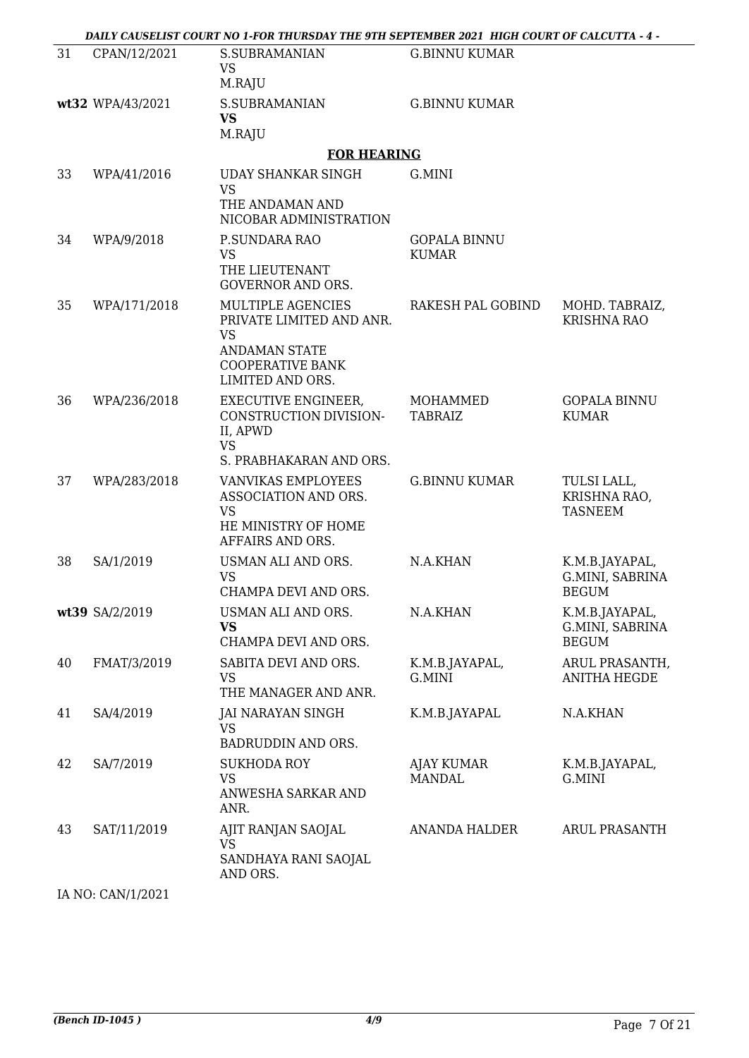| - DAILY CAUSELIST COURT NO 1-FOR THURSDAY THE 9TH SEPTEMBER 2021 HIGH COURT OF CALCUTTA - 4 |  |
|---------------------------------------------------------------------------------------------|--|
|                                                                                             |  |

| 31 | CPAN/12/2021     | <b>S.SUBRAMANIAN</b><br><b>VS</b><br>M.RAJU                                                                                       | <b>G.BINNU KUMAR</b>                |                                                   |
|----|------------------|-----------------------------------------------------------------------------------------------------------------------------------|-------------------------------------|---------------------------------------------------|
|    | wt32 WPA/43/2021 | <b>S.SUBRAMANIAN</b><br><b>VS</b><br>M.RAJU                                                                                       | <b>G.BINNU KUMAR</b>                |                                                   |
|    |                  | <b>FOR HEARING</b>                                                                                                                |                                     |                                                   |
| 33 | WPA/41/2016      | <b>UDAY SHANKAR SINGH</b><br><b>VS</b><br>THE ANDAMAN AND<br>NICOBAR ADMINISTRATION                                               | G.MINI                              |                                                   |
| 34 | WPA/9/2018       | P.SUNDARA RAO<br><b>VS</b><br>THE LIEUTENANT<br><b>GOVERNOR AND ORS.</b>                                                          | <b>GOPALA BINNU</b><br><b>KUMAR</b> |                                                   |
| 35 | WPA/171/2018     | MULTIPLE AGENCIES<br>PRIVATE LIMITED AND ANR.<br><b>VS</b><br><b>ANDAMAN STATE</b><br><b>COOPERATIVE BANK</b><br>LIMITED AND ORS. | RAKESH PAL GOBIND                   | MOHD. TABRAIZ,<br><b>KRISHNA RAO</b>              |
| 36 | WPA/236/2018     | <b>EXECUTIVE ENGINEER,</b><br>CONSTRUCTION DIVISION-<br>II, APWD<br><b>VS</b><br>S. PRABHAKARAN AND ORS.                          | MOHAMMED<br><b>TABRAIZ</b>          | <b>GOPALA BINNU</b><br><b>KUMAR</b>               |
| 37 | WPA/283/2018     | VANVIKAS EMPLOYEES<br>ASSOCIATION AND ORS.<br><b>VS</b><br>HE MINISTRY OF HOME<br>AFFAIRS AND ORS.                                | <b>G.BINNU KUMAR</b>                | TULSI LALL,<br>KRISHNA RAO,<br><b>TASNEEM</b>     |
| 38 | SA/1/2019        | USMAN ALI AND ORS.<br><b>VS</b><br>CHAMPA DEVI AND ORS.                                                                           | N.A.KHAN                            | K.M.B.JAYAPAL,<br>G.MINI, SABRINA<br><b>BEGUM</b> |
|    | wt39 SA/2/2019   | USMAN ALI AND ORS.<br><b>VS</b><br>CHAMPA DEVI AND ORS.                                                                           | N.A.KHAN                            | K.M.B.JAYAPAL,<br>G.MINI, SABRINA<br><b>BEGUM</b> |
| 40 | FMAT/3/2019      | SABITA DEVI AND ORS.<br><b>VS</b><br>THE MANAGER AND ANR.                                                                         | K.M.B.JAYAPAL,<br>G.MINI            | ARUL PRASANTH,<br><b>ANITHA HEGDE</b>             |
| 41 | SA/4/2019        | <b>JAI NARAYAN SINGH</b><br><b>VS</b><br>BADRUDDIN AND ORS.                                                                       | K.M.B.JAYAPAL                       | N.A.KHAN                                          |
| 42 | SA/7/2019        | <b>SUKHODA ROY</b><br><b>VS</b><br>ANWESHA SARKAR AND<br>ANR.                                                                     | AJAY KUMAR<br><b>MANDAL</b>         | K.M.B.JAYAPAL,<br>G.MINI                          |
| 43 | SAT/11/2019      | AJIT RANJAN SAOJAL<br><b>VS</b><br>SANDHAYA RANI SAOJAL<br>AND ORS.                                                               | ANANDA HALDER                       | <b>ARUL PRASANTH</b>                              |
|    |                  |                                                                                                                                   |                                     |                                                   |

IA NO: CAN/1/2021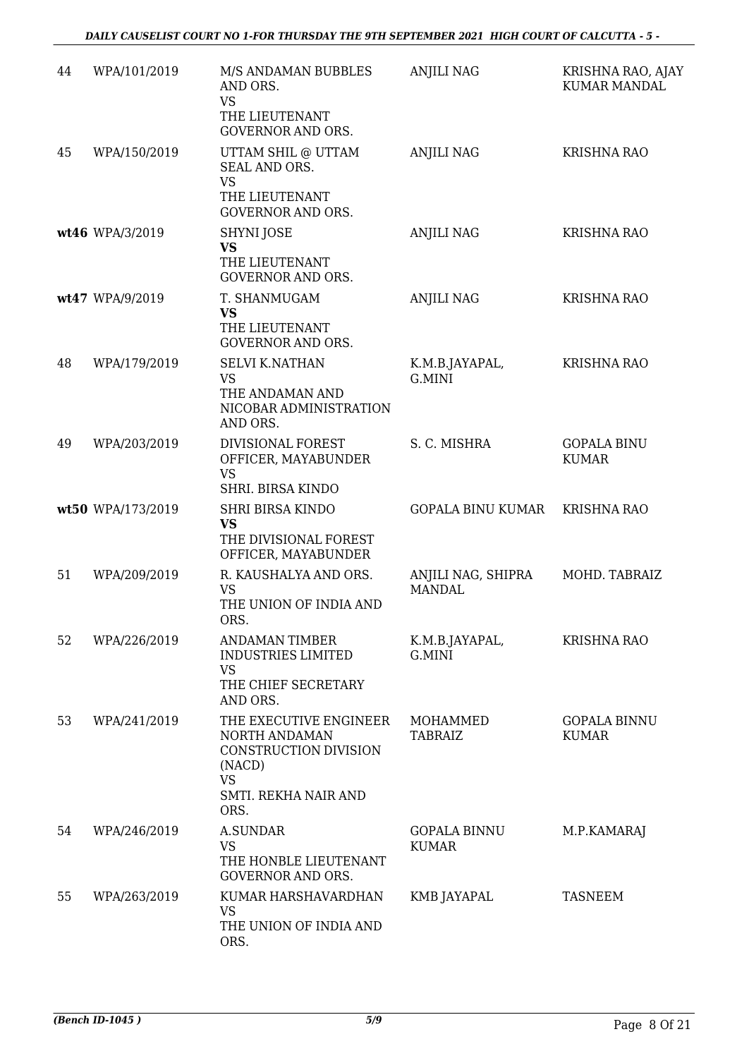| 44 | WPA/101/2019      | M/S ANDAMAN BUBBLES<br>AND ORS.<br><b>VS</b><br>THE LIEUTENANT<br><b>GOVERNOR AND ORS.</b>                              | <b>ANJILI NAG</b>                   | KRISHNA RAO, AJAY<br><b>KUMAR MANDAL</b> |
|----|-------------------|-------------------------------------------------------------------------------------------------------------------------|-------------------------------------|------------------------------------------|
| 45 | WPA/150/2019      | UTTAM SHIL @ UTTAM<br>SEAL AND ORS.<br><b>VS</b><br>THE LIEUTENANT<br><b>GOVERNOR AND ORS.</b>                          | <b>ANJILI NAG</b>                   | <b>KRISHNA RAO</b>                       |
|    | wt46 WPA/3/2019   | SHYNI JOSE<br><b>VS</b><br>THE LIEUTENANT<br><b>GOVERNOR AND ORS.</b>                                                   | <b>ANJILI NAG</b>                   | KRISHNA RAO                              |
|    | wt47 WPA/9/2019   | T. SHANMUGAM<br><b>VS</b><br>THE LIEUTENANT<br><b>GOVERNOR AND ORS.</b>                                                 | <b>ANJILI NAG</b>                   | <b>KRISHNA RAO</b>                       |
| 48 | WPA/179/2019      | <b>SELVI K.NATHAN</b><br><b>VS</b><br>THE ANDAMAN AND<br>NICOBAR ADMINISTRATION<br>AND ORS.                             | K.M.B.JAYAPAL,<br>G.MINI            | <b>KRISHNA RAO</b>                       |
| 49 | WPA/203/2019      | DIVISIONAL FOREST<br>OFFICER, MAYABUNDER<br><b>VS</b><br>SHRI. BIRSA KINDO                                              | S. C. MISHRA                        | <b>GOPALA BINU</b><br><b>KUMAR</b>       |
|    | wt50 WPA/173/2019 | <b>SHRI BIRSA KINDO</b><br><b>VS</b><br>THE DIVISIONAL FOREST<br>OFFICER, MAYABUNDER                                    | <b>GOPALA BINU KUMAR</b>            | <b>KRISHNA RAO</b>                       |
| 51 | WPA/209/2019      | R. KAUSHALYA AND ORS.<br><b>VS</b><br>THE UNION OF INDIA AND<br>ORS.                                                    | ANJILI NAG, SHIPRA<br><b>MANDAL</b> | MOHD. TABRAIZ                            |
| 52 | WPA/226/2019      | ANDAMAN TIMBER<br><b>INDUSTRIES LIMITED</b><br>VS<br>THE CHIEF SECRETARY<br>AND ORS.                                    | K.M.B.JAYAPAL,<br>G.MINI            | <b>KRISHNA RAO</b>                       |
| 53 | WPA/241/2019      | THE EXECUTIVE ENGINEER<br>NORTH ANDAMAN<br>CONSTRUCTION DIVISION<br>(NACD)<br><b>VS</b><br>SMTI. REKHA NAIR AND<br>ORS. | MOHAMMED<br><b>TABRAIZ</b>          | <b>GOPALA BINNU</b><br><b>KUMAR</b>      |
| 54 | WPA/246/2019      | A.SUNDAR<br><b>VS</b><br>THE HONBLE LIEUTENANT<br><b>GOVERNOR AND ORS.</b>                                              | <b>GOPALA BINNU</b><br><b>KUMAR</b> | M.P.KAMARAJ                              |
| 55 | WPA/263/2019      | KUMAR HARSHAVARDHAN<br><b>VS</b><br>THE UNION OF INDIA AND<br>ORS.                                                      | KMB JAYAPAL                         | <b>TASNEEM</b>                           |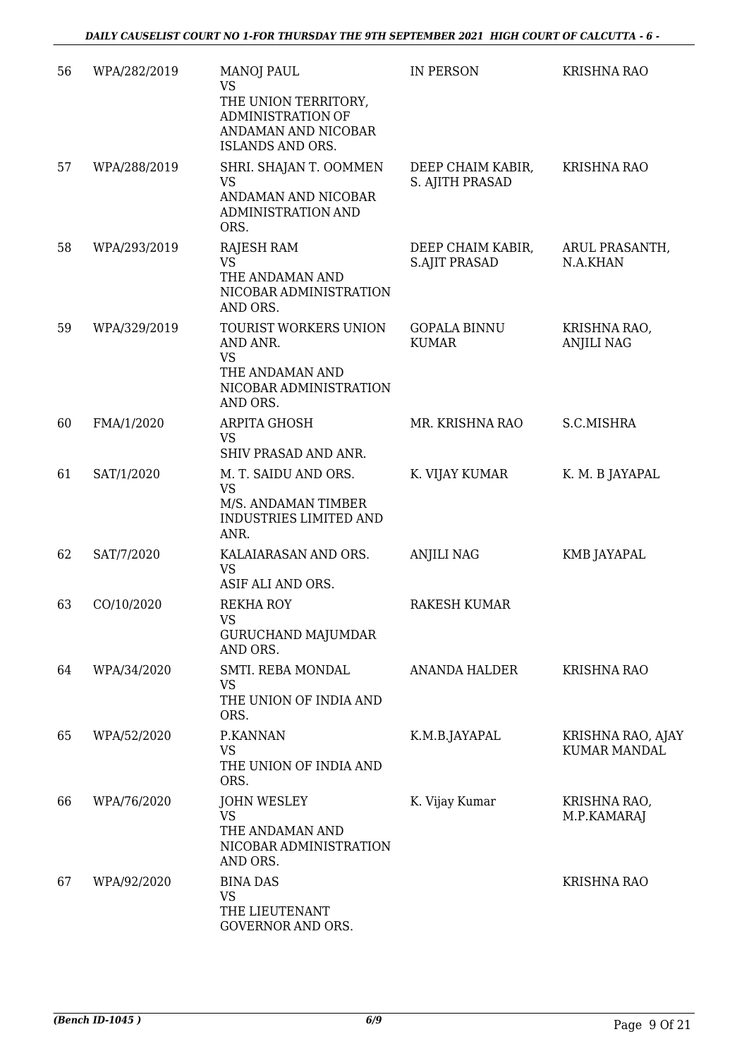| 56 | WPA/282/2019 | <b>MANOJ PAUL</b><br>VS<br>THE UNION TERRITORY,<br>ADMINISTRATION OF<br>ANDAMAN AND NICOBAR<br>ISLANDS AND ORS. | IN PERSON                                 | KRISHNA RAO                              |
|----|--------------|-----------------------------------------------------------------------------------------------------------------|-------------------------------------------|------------------------------------------|
| 57 | WPA/288/2019 | SHRI. SHAJAN T. OOMMEN<br><b>VS</b><br>ANDAMAN AND NICOBAR<br>ADMINISTRATION AND<br>ORS.                        | DEEP CHAIM KABIR,<br>S. AJITH PRASAD      | <b>KRISHNA RAO</b>                       |
| 58 | WPA/293/2019 | <b>RAJESH RAM</b><br><b>VS</b><br>THE ANDAMAN AND<br>NICOBAR ADMINISTRATION<br>AND ORS.                         | DEEP CHAIM KABIR,<br><b>S.AJIT PRASAD</b> | ARUL PRASANTH,<br>N.A.KHAN               |
| 59 | WPA/329/2019 | TOURIST WORKERS UNION<br>AND ANR.<br><b>VS</b><br>THE ANDAMAN AND<br>NICOBAR ADMINISTRATION<br>AND ORS.         | <b>GOPALA BINNU</b><br><b>KUMAR</b>       | KRISHNA RAO,<br><b>ANJILI NAG</b>        |
| 60 | FMA/1/2020   | ARPITA GHOSH<br><b>VS</b><br>SHIV PRASAD AND ANR.                                                               | MR. KRISHNA RAO                           | S.C.MISHRA                               |
| 61 | SAT/1/2020   | M. T. SAIDU AND ORS.<br><b>VS</b><br>M/S. ANDAMAN TIMBER<br><b>INDUSTRIES LIMITED AND</b><br>ANR.               | K. VIJAY KUMAR                            | K. M. B JAYAPAL                          |
| 62 | SAT/7/2020   | KALAIARASAN AND ORS.<br><b>VS</b><br>ASIF ALI AND ORS.                                                          | <b>ANJILI NAG</b>                         | KMB JAYAPAL                              |
| 63 | CO/10/2020   | <b>REKHA ROY</b><br>VS \<br><b>GURUCHAND MAJUMDAR</b><br>AND ORS.                                               | RAKESH KUMAR                              |                                          |
| 64 | WPA/34/2020  | SMTI. REBA MONDAL<br>VS<br>THE UNION OF INDIA AND<br>ORS.                                                       | ANANDA HALDER                             | <b>KRISHNA RAO</b>                       |
| 65 | WPA/52/2020  | P.KANNAN<br>VS<br>THE UNION OF INDIA AND<br>ORS.                                                                | K.M.B.JAYAPAL                             | KRISHNA RAO, AJAY<br><b>KUMAR MANDAL</b> |
| 66 | WPA/76/2020  | <b>JOHN WESLEY</b><br><b>VS</b><br>THE ANDAMAN AND<br>NICOBAR ADMINISTRATION<br>AND ORS.                        | K. Vijay Kumar                            | KRISHNA RAO,<br>M.P.KAMARAJ              |
| 67 | WPA/92/2020  | <b>BINA DAS</b><br><b>VS</b><br>THE LIEUTENANT<br>GOVERNOR AND ORS.                                             |                                           | <b>KRISHNA RAO</b>                       |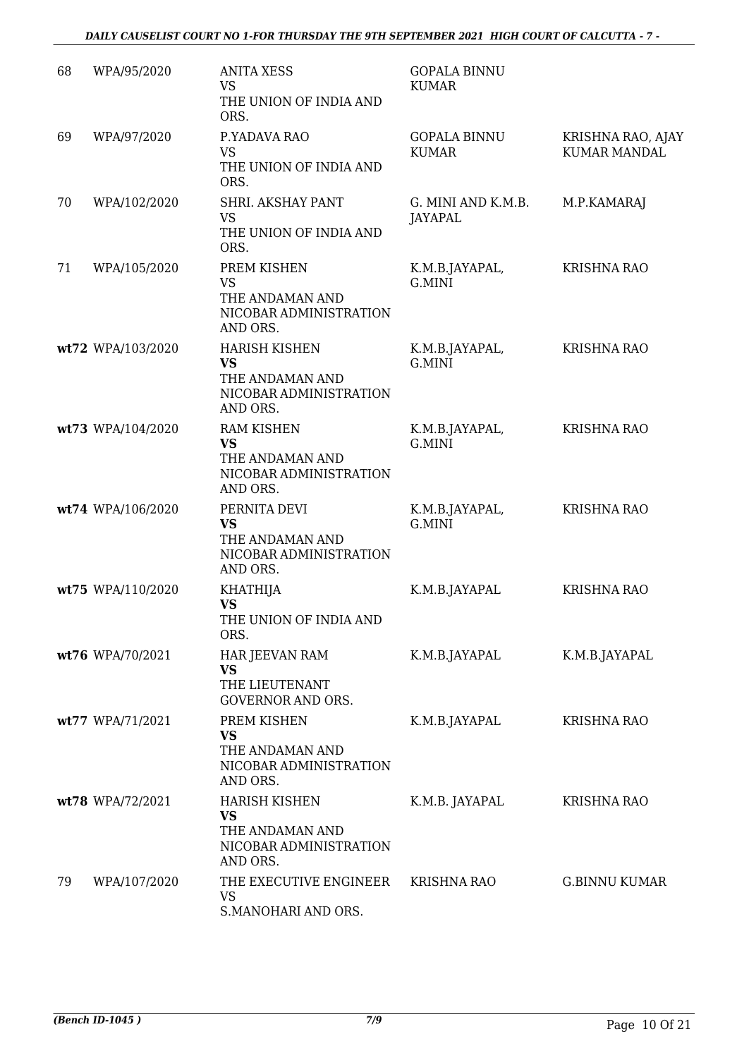| 68 | WPA/95/2020       | <b>ANITA XESS</b><br><b>VS</b><br>THE UNION OF INDIA AND<br>ORS.                           | <b>GOPALA BINNU</b><br><b>KUMAR</b> |                                          |
|----|-------------------|--------------------------------------------------------------------------------------------|-------------------------------------|------------------------------------------|
| 69 | WPA/97/2020       | P.YADAVA RAO<br><b>VS</b><br>THE UNION OF INDIA AND<br>ORS.                                | <b>GOPALA BINNU</b><br><b>KUMAR</b> | KRISHNA RAO, AJAY<br><b>KUMAR MANDAL</b> |
| 70 | WPA/102/2020      | SHRI. AKSHAY PANT<br><b>VS</b><br>THE UNION OF INDIA AND<br>ORS.                           | G. MINI AND K.M.B.<br>JAYAPAL       | M.P.KAMARAJ                              |
| 71 | WPA/105/2020      | PREM KISHEN<br><b>VS</b><br>THE ANDAMAN AND<br>NICOBAR ADMINISTRATION<br>AND ORS.          | K.M.B.JAYAPAL,<br>G.MINI            | <b>KRISHNA RAO</b>                       |
|    | wt72 WPA/103/2020 | <b>HARISH KISHEN</b><br><b>VS</b><br>THE ANDAMAN AND<br>NICOBAR ADMINISTRATION<br>AND ORS. | K.M.B.JAYAPAL,<br>G.MINI            | <b>KRISHNA RAO</b>                       |
|    | wt73 WPA/104/2020 | <b>RAM KISHEN</b><br><b>VS</b><br>THE ANDAMAN AND<br>NICOBAR ADMINISTRATION<br>AND ORS.    | K.M.B.JAYAPAL,<br>G.MINI            | KRISHNA RAO                              |
|    | wt74 WPA/106/2020 | PERNITA DEVI<br><b>VS</b><br>THE ANDAMAN AND<br>NICOBAR ADMINISTRATION<br>AND ORS.         | K.M.B.JAYAPAL,<br>G.MINI            | <b>KRISHNA RAO</b>                       |
|    | wt75 WPA/110/2020 | <b>KHATHIJA</b><br><b>VS</b><br>THE UNION OF INDIA AND<br>ORS.                             | K.M.B.JAYAPAL                       | <b>KRISHNA RAO</b>                       |
|    | wt76 WPA/70/2021  | HAR JEEVAN RAM<br>VS<br>THE LIEUTENANT<br><b>GOVERNOR AND ORS.</b>                         | K.M.B.JAYAPAL                       | K.M.B.JAYAPAL                            |
|    | wt77 WPA/71/2021  | PREM KISHEN<br><b>VS</b><br>THE ANDAMAN AND<br>NICOBAR ADMINISTRATION<br>AND ORS.          | K.M.B.JAYAPAL                       | <b>KRISHNA RAO</b>                       |
|    | wt78 WPA/72/2021  | <b>HARISH KISHEN</b><br><b>VS</b><br>THE ANDAMAN AND<br>NICOBAR ADMINISTRATION<br>AND ORS. | K.M.B. JAYAPAL                      | <b>KRISHNA RAO</b>                       |
| 79 | WPA/107/2020      | THE EXECUTIVE ENGINEER<br><b>VS</b><br>S.MANOHARI AND ORS.                                 | KRISHNA RAO                         | <b>G.BINNU KUMAR</b>                     |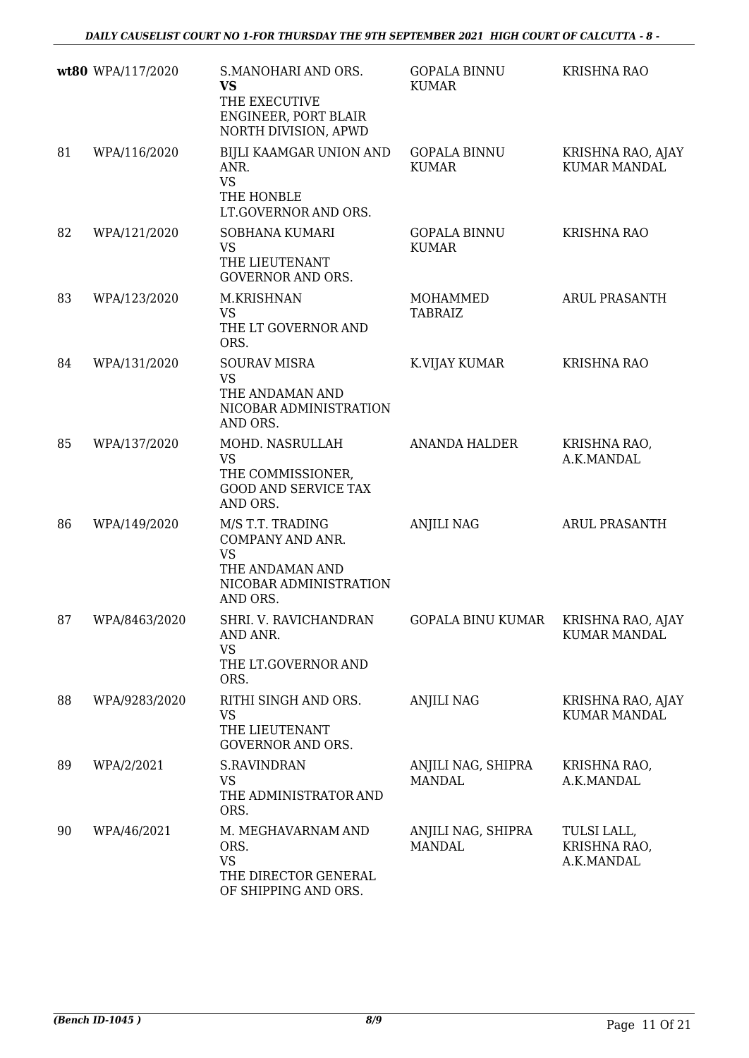|    | wt80 WPA/117/2020 | S.MANOHARI AND ORS.<br><b>VS</b><br>THE EXECUTIVE<br>ENGINEER, PORT BLAIR<br>NORTH DIVISION, APWD          | <b>GOPALA BINNU</b><br><b>KUMAR</b> | <b>KRISHNA RAO</b>                        |
|----|-------------------|------------------------------------------------------------------------------------------------------------|-------------------------------------|-------------------------------------------|
| 81 | WPA/116/2020      | BIJLI KAAMGAR UNION AND<br>ANR.<br><b>VS</b><br>THE HONBLE<br>LT.GOVERNOR AND ORS.                         | <b>GOPALA BINNU</b><br><b>KUMAR</b> | KRISHNA RAO, AJAY<br><b>KUMAR MANDAL</b>  |
| 82 | WPA/121/2020      | SOBHANA KUMARI<br><b>VS</b><br>THE LIEUTENANT<br><b>GOVERNOR AND ORS.</b>                                  | <b>GOPALA BINNU</b><br><b>KUMAR</b> | <b>KRISHNA RAO</b>                        |
| 83 | WPA/123/2020      | M.KRISHNAN<br><b>VS</b><br>THE LT GOVERNOR AND<br>ORS.                                                     | MOHAMMED<br><b>TABRAIZ</b>          | <b>ARUL PRASANTH</b>                      |
| 84 | WPA/131/2020      | <b>SOURAV MISRA</b><br><b>VS</b><br>THE ANDAMAN AND<br>NICOBAR ADMINISTRATION<br>AND ORS.                  | K.VIJAY KUMAR                       | <b>KRISHNA RAO</b>                        |
| 85 | WPA/137/2020      | MOHD. NASRULLAH<br><b>VS</b><br>THE COMMISSIONER,<br><b>GOOD AND SERVICE TAX</b><br>AND ORS.               | <b>ANANDA HALDER</b>                | KRISHNA RAO,<br>A.K.MANDAL                |
| 86 | WPA/149/2020      | M/S T.T. TRADING<br>COMPANY AND ANR.<br><b>VS</b><br>THE ANDAMAN AND<br>NICOBAR ADMINISTRATION<br>AND ORS. | <b>ANJILI NAG</b>                   | <b>ARUL PRASANTH</b>                      |
| 87 | WPA/8463/2020     | SHRI. V. RAVICHANDRAN<br>AND ANR.<br><b>VS</b><br>THE LT.GOVERNOR AND<br>ORS.                              | GOPALA BINU KUMAR KRISHNA RAO, AJAY | <b>KUMAR MANDAL</b>                       |
| 88 | WPA/9283/2020     | RITHI SINGH AND ORS.<br><b>VS</b><br>THE LIEUTENANT<br><b>GOVERNOR AND ORS.</b>                            | <b>ANJILI NAG</b>                   | KRISHNA RAO, AJAY<br><b>KUMAR MANDAL</b>  |
| 89 | WPA/2/2021        | <b>S.RAVINDRAN</b><br><b>VS</b><br>THE ADMINISTRATOR AND<br>ORS.                                           | ANJILI NAG, SHIPRA<br><b>MANDAL</b> | KRISHNA RAO,<br>A.K.MANDAL                |
| 90 | WPA/46/2021       | M. MEGHAVARNAM AND<br>ORS.<br><b>VS</b><br>THE DIRECTOR GENERAL<br>OF SHIPPING AND ORS.                    | ANJILI NAG, SHIPRA<br><b>MANDAL</b> | TULSI LALL,<br>KRISHNA RAO,<br>A.K.MANDAL |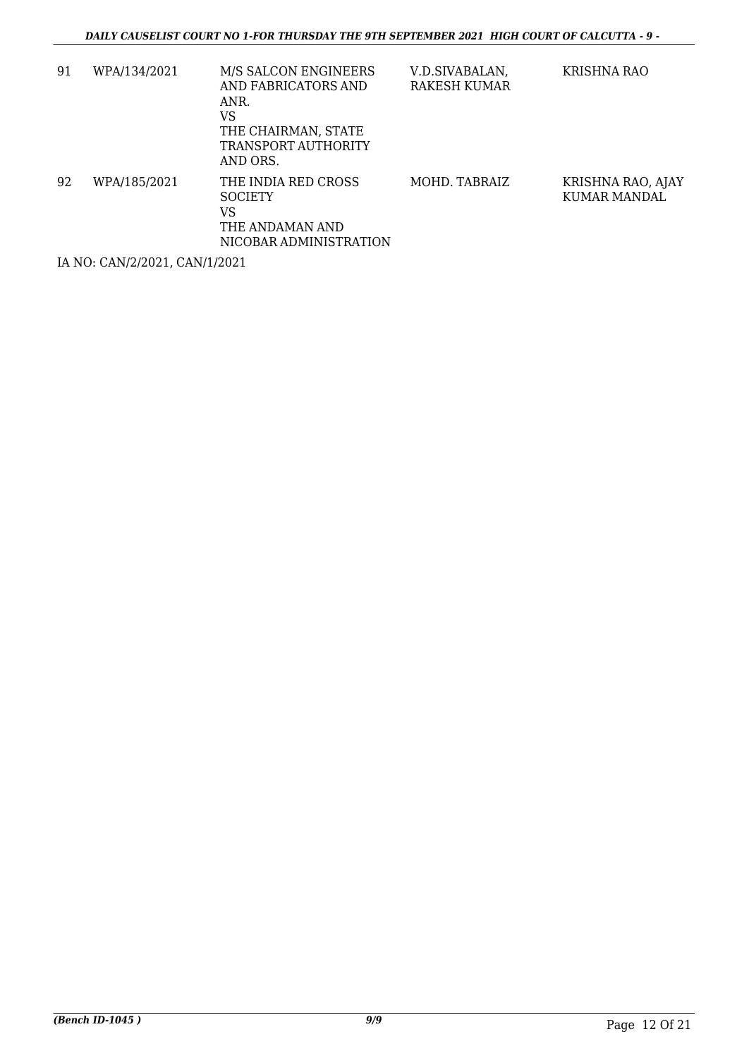| 91 | WPA/134/2021 | M/S SALCON ENGINEERS<br>AND FABRICATORS AND<br>ANR.<br>VS<br>THE CHAIRMAN, STATE<br>TRANSPORT AUTHORITY<br>AND ORS. | V.D.SIVABALAN,<br>RAKESH KUMAR | KRISHNA RAO                       |
|----|--------------|---------------------------------------------------------------------------------------------------------------------|--------------------------------|-----------------------------------|
| 92 | WPA/185/2021 | THE INDIA RED CROSS<br><b>SOCIETY</b><br>VS<br>THE ANDAMAN AND<br>NICOBAR ADMINISTRATION                            | MOHD. TABRAIZ                  | KRISHNA RAO, AJAY<br>KUMAR MANDAL |

IA NO: CAN/2/2021, CAN/1/2021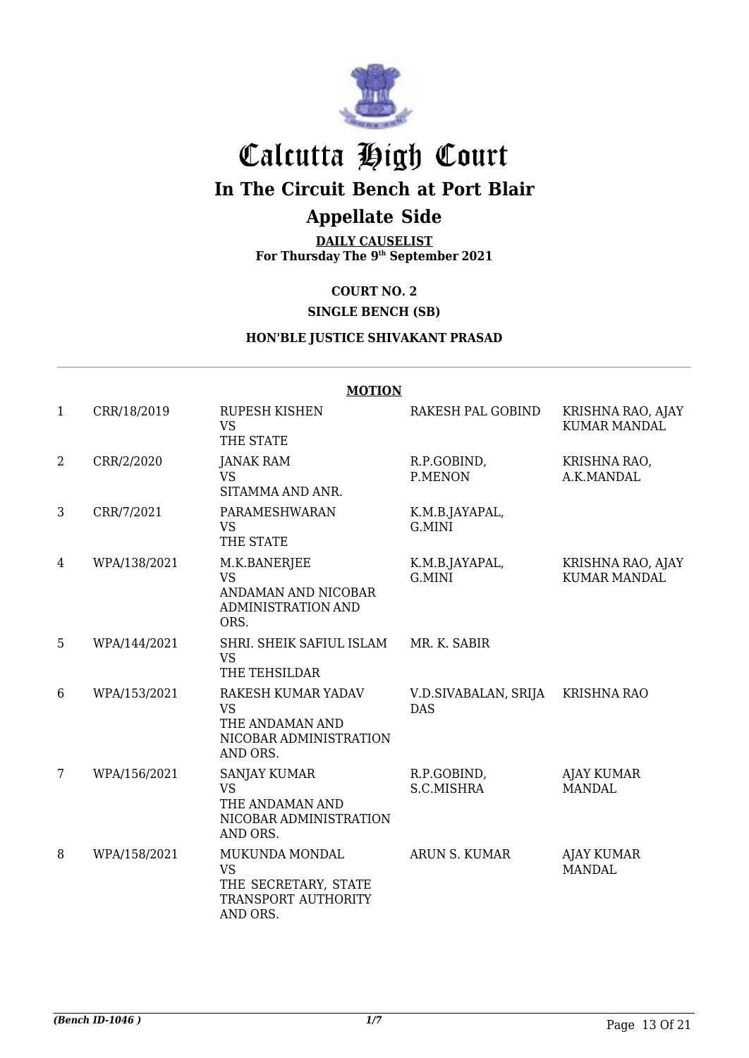

# Calcutta High Court

## **In The Circuit Bench at Port Blair**

## **Appellate Side**

**DAILY CAUSELIST For Thursday The 9 th September 2021**

### **COURT NO. 2**

### **SINGLE BENCH (SB)**

### **HON'BLE JUSTICE SHIVAKANT PRASAD**

|              |              | <b>MOTION</b>                                                                            |                                    |                                          |
|--------------|--------------|------------------------------------------------------------------------------------------|------------------------------------|------------------------------------------|
| $\mathbf{1}$ | CRR/18/2019  | <b>RUPESH KISHEN</b><br><b>VS</b><br>THE STATE                                           | RAKESH PAL GOBIND                  | KRISHNA RAO, AJAY<br><b>KUMAR MANDAL</b> |
| 2            | CRR/2/2020   | JANAK RAM<br><b>VS</b><br>SITAMMA AND ANR.                                               | R.P.GOBIND,<br>P.MENON             | KRISHNA RAO,<br>A.K.MANDAL               |
| 3            | CRR/7/2021   | PARAMESHWARAN<br><b>VS</b><br>THE STATE                                                  | K.M.B.JAYAPAL,<br>G.MINI           |                                          |
| 4            | WPA/138/2021 | M.K.BANERJEE<br><b>VS</b><br>ANDAMAN AND NICOBAR<br><b>ADMINISTRATION AND</b><br>ORS.    | K.M.B.JAYAPAL,<br>G.MINI           | KRISHNA RAO, AJAY<br><b>KUMAR MANDAL</b> |
| 5            | WPA/144/2021 | SHRI. SHEIK SAFIUL ISLAM<br><b>VS</b><br>THE TEHSILDAR                                   | MR. K. SABIR                       |                                          |
| 6            | WPA/153/2021 | RAKESH KUMAR YADAV<br><b>VS</b><br>THE ANDAMAN AND<br>NICOBAR ADMINISTRATION<br>AND ORS. | V.D.SIVABALAN, SRIJA<br><b>DAS</b> | <b>KRISHNA RAO</b>                       |
| 7            | WPA/156/2021 | SANJAY KUMAR<br><b>VS</b><br>THE ANDAMAN AND<br>NICOBAR ADMINISTRATION<br>AND ORS.       | R.P.GOBIND,<br>S.C.MISHRA          | <b>AJAY KUMAR</b><br><b>MANDAL</b>       |
| 8            | WPA/158/2021 | MUKUNDA MONDAL<br><b>VS</b><br>THE SECRETARY, STATE<br>TRANSPORT AUTHORITY<br>AND ORS.   | ARUN S. KUMAR                      | <b>AJAY KUMAR</b><br><b>MANDAL</b>       |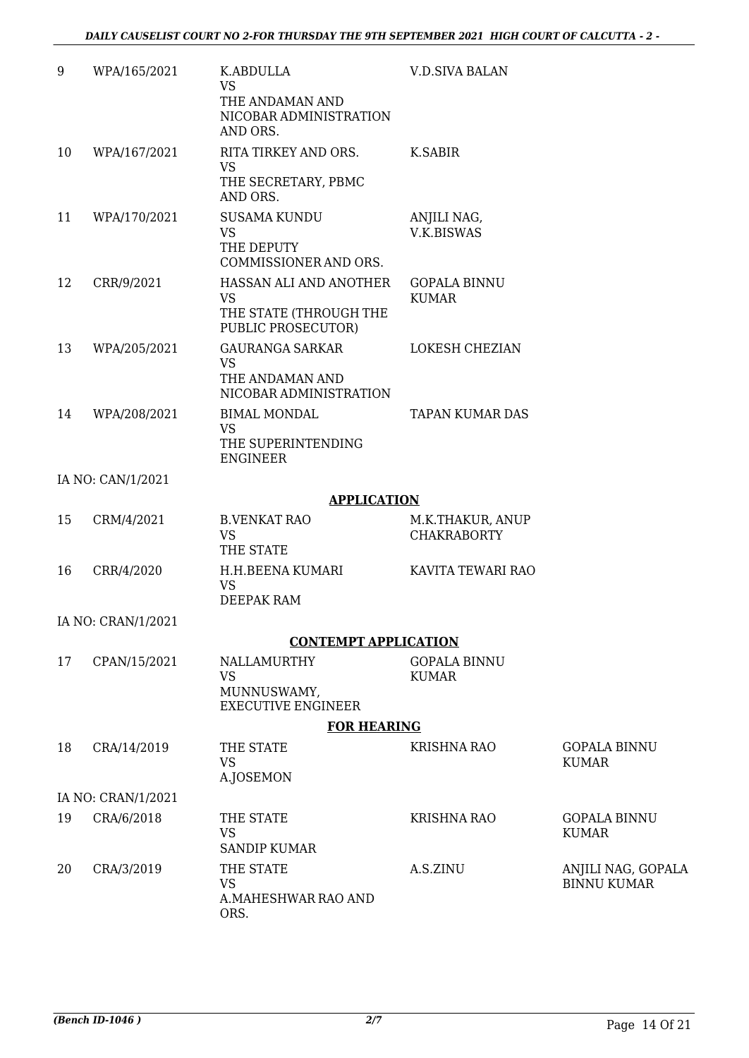| 9  | WPA/165/2021       | K.ABDULLA<br><b>VS</b><br>THE ANDAMAN AND<br>NICOBAR ADMINISTRATION<br>AND ORS.     | <b>V.D.SIVA BALAN</b>                  |                                          |
|----|--------------------|-------------------------------------------------------------------------------------|----------------------------------------|------------------------------------------|
| 10 | WPA/167/2021       | RITA TIRKEY AND ORS.<br><b>VS</b><br>THE SECRETARY, PBMC<br>AND ORS.                | K.SABIR                                |                                          |
| 11 | WPA/170/2021       | <b>SUSAMA KUNDU</b><br><b>VS</b><br>THE DEPUTY<br>COMMISSIONER AND ORS.             | ANJILI NAG,<br><b>V.K.BISWAS</b>       |                                          |
| 12 | CRR/9/2021         | HASSAN ALI AND ANOTHER<br><b>VS</b><br>THE STATE (THROUGH THE<br>PUBLIC PROSECUTOR) | <b>GOPALA BINNU</b><br><b>KUMAR</b>    |                                          |
| 13 | WPA/205/2021       | <b>GAURANGA SARKAR</b><br><b>VS</b><br>THE ANDAMAN AND<br>NICOBAR ADMINISTRATION    | LOKESH CHEZIAN                         |                                          |
| 14 | WPA/208/2021       | <b>BIMAL MONDAL</b><br><b>VS</b><br>THE SUPERINTENDING<br><b>ENGINEER</b>           | <b>TAPAN KUMAR DAS</b>                 |                                          |
|    | IA NO: CAN/1/2021  |                                                                                     |                                        |                                          |
|    |                    | <b>APPLICATION</b>                                                                  |                                        |                                          |
| 15 | CRM/4/2021         | <b>B.VENKAT RAO</b><br><b>VS</b><br>THE STATE                                       | M.K.THAKUR, ANUP<br><b>CHAKRABORTY</b> |                                          |
| 16 | CRR/4/2020         | H.H.BEENA KUMARI<br><b>VS</b><br><b>DEEPAK RAM</b>                                  | KAVITA TEWARI RAO                      |                                          |
|    | IA NO: CRAN/1/2021 |                                                                                     |                                        |                                          |
|    |                    | <b>CONTEMPT APPLICATION</b>                                                         |                                        |                                          |
| 17 | CPAN/15/2021       | NALLAMURTHY<br><b>VS</b><br>MUNNUSWAMY,<br><b>EXECUTIVE ENGINEER</b>                | <b>GOPALA BINNU</b><br><b>KUMAR</b>    |                                          |
|    |                    | <b>FOR HEARING</b>                                                                  |                                        |                                          |
| 18 | CRA/14/2019        | THE STATE<br><b>VS</b><br>A.JOSEMON                                                 | <b>KRISHNA RAO</b>                     | <b>GOPALA BINNU</b><br><b>KUMAR</b>      |
|    | IA NO: CRAN/1/2021 |                                                                                     |                                        |                                          |
| 19 | CRA/6/2018         | THE STATE<br><b>VS</b><br><b>SANDIP KUMAR</b>                                       | <b>KRISHNA RAO</b>                     | <b>GOPALA BINNU</b><br><b>KUMAR</b>      |
| 20 | CRA/3/2019         | THE STATE<br><b>VS</b><br>A.MAHESHWAR RAO AND<br>ORS.                               | A.S.ZINU                               | ANJILI NAG, GOPALA<br><b>BINNU KUMAR</b> |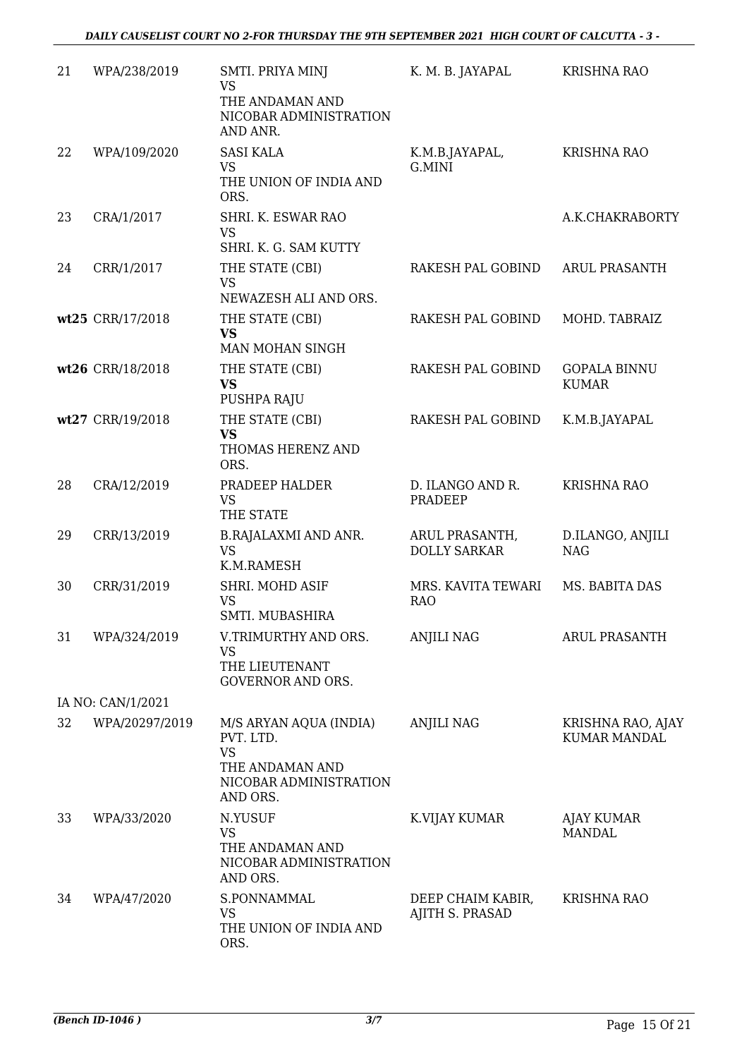| 21 | WPA/238/2019      | SMTI. PRIYA MINJ<br>VS<br>THE ANDAMAN AND<br>NICOBAR ADMINISTRATION<br>AND ANR.                           | K. M. B. JAYAPAL                      | <b>KRISHNA RAO</b>                       |
|----|-------------------|-----------------------------------------------------------------------------------------------------------|---------------------------------------|------------------------------------------|
| 22 | WPA/109/2020      | <b>SASI KALA</b><br><b>VS</b><br>THE UNION OF INDIA AND<br>ORS.                                           | K.M.B.JAYAPAL,<br>G.MINI              | <b>KRISHNA RAO</b>                       |
| 23 | CRA/1/2017        | SHRI. K. ESWAR RAO<br><b>VS</b><br>SHRI. K. G. SAM KUTTY                                                  |                                       | A.K.CHAKRABORTY                          |
| 24 | CRR/1/2017        | THE STATE (CBI)<br><b>VS</b><br>NEWAZESH ALI AND ORS.                                                     | RAKESH PAL GOBIND                     | <b>ARUL PRASANTH</b>                     |
|    | wt25 CRR/17/2018  | THE STATE (CBI)<br><b>VS</b><br>MAN MOHAN SINGH                                                           | RAKESH PAL GOBIND                     | MOHD. TABRAIZ                            |
|    | wt26 CRR/18/2018  | THE STATE (CBI)<br><b>VS</b><br>PUSHPA RAJU                                                               | RAKESH PAL GOBIND                     | <b>GOPALA BINNU</b><br><b>KUMAR</b>      |
|    | wt27 CRR/19/2018  | THE STATE (CBI)<br><b>VS</b><br>THOMAS HERENZ AND<br>ORS.                                                 | RAKESH PAL GOBIND                     | K.M.B.JAYAPAL                            |
| 28 | CRA/12/2019       | PRADEEP HALDER<br><b>VS</b><br>THE STATE                                                                  | D. ILANGO AND R.<br>PRADEEP           | <b>KRISHNA RAO</b>                       |
| 29 | CRR/13/2019       | <b>B.RAJALAXMI AND ANR.</b><br><b>VS</b><br>K.M.RAMESH                                                    | ARUL PRASANTH,<br><b>DOLLY SARKAR</b> | D.ILANGO, ANJILI<br><b>NAG</b>           |
| 30 | CRR/31/2019       | SHRI. MOHD ASIF<br><b>VS</b><br>SMTI. MUBASHIRA                                                           | MRS. KAVITA TEWARI<br><b>RAO</b>      | MS. BABITA DAS                           |
| 31 | WPA/324/2019      | V.TRIMURTHY AND ORS.<br><b>VS</b><br>THE LIEUTENANT<br><b>GOVERNOR AND ORS.</b>                           | <b>ANJILI NAG</b>                     | <b>ARUL PRASANTH</b>                     |
|    | IA NO: CAN/1/2021 |                                                                                                           |                                       |                                          |
| 32 | WPA/20297/2019    | M/S ARYAN AQUA (INDIA)<br>PVT. LTD.<br><b>VS</b><br>THE ANDAMAN AND<br>NICOBAR ADMINISTRATION<br>AND ORS. | <b>ANJILI NAG</b>                     | KRISHNA RAO, AJAY<br><b>KUMAR MANDAL</b> |
| 33 | WPA/33/2020       | N.YUSUF<br>VS<br>THE ANDAMAN AND<br>NICOBAR ADMINISTRATION<br>AND ORS.                                    | K.VIJAY KUMAR                         | AJAY KUMAR<br>MANDAL                     |
| 34 | WPA/47/2020       | S.PONNAMMAL<br><b>VS</b><br>THE UNION OF INDIA AND<br>ORS.                                                | DEEP CHAIM KABIR,<br>AJITH S. PRASAD  | <b>KRISHNA RAO</b>                       |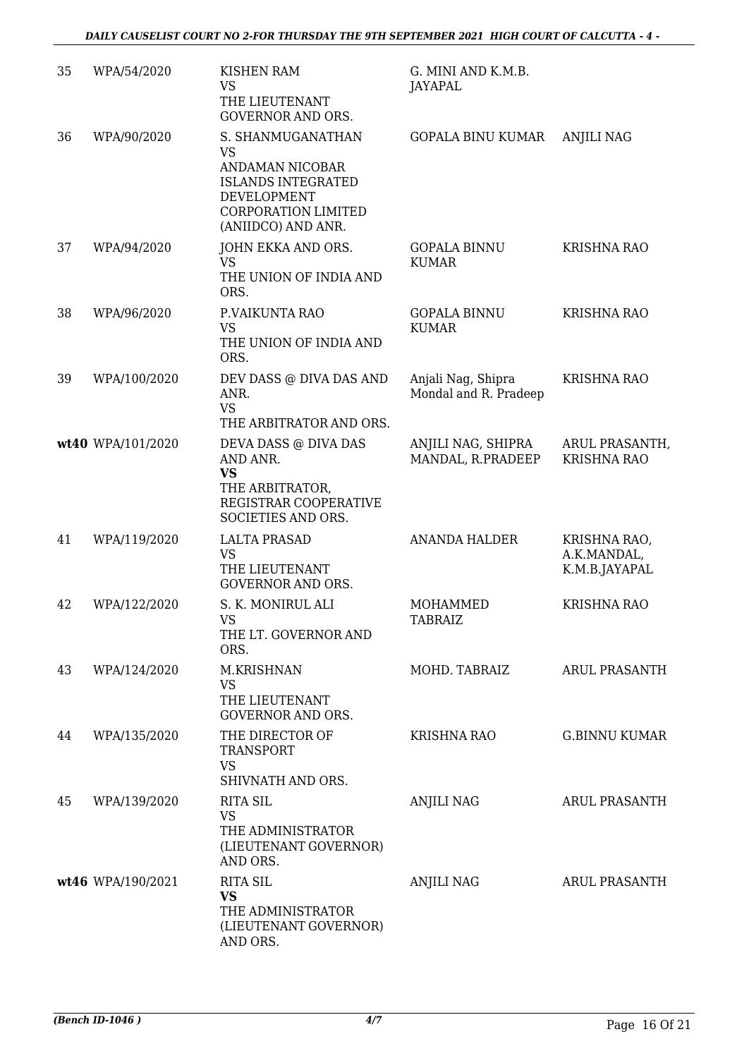| 35 | WPA/54/2020       | <b>KISHEN RAM</b><br><b>VS</b><br>THE LIEUTENANT<br><b>GOVERNOR AND ORS.</b>                                                                      | G. MINI AND K.M.B.<br>JAYAPAL               |                                              |
|----|-------------------|---------------------------------------------------------------------------------------------------------------------------------------------------|---------------------------------------------|----------------------------------------------|
| 36 | WPA/90/2020       | S. SHANMUGANATHAN<br><b>VS</b><br>ANDAMAN NICOBAR<br><b>ISLANDS INTEGRATED</b><br>DEVELOPMENT<br><b>CORPORATION LIMITED</b><br>(ANIIDCO) AND ANR. | <b>GOPALA BINU KUMAR</b>                    | <b>ANJILI NAG</b>                            |
| 37 | WPA/94/2020       | JOHN EKKA AND ORS.<br><b>VS</b><br>THE UNION OF INDIA AND<br>ORS.                                                                                 | <b>GOPALA BINNU</b><br><b>KUMAR</b>         | <b>KRISHNA RAO</b>                           |
| 38 | WPA/96/2020       | P.VAIKUNTA RAO<br><b>VS</b><br>THE UNION OF INDIA AND<br>ORS.                                                                                     | <b>GOPALA BINNU</b><br><b>KUMAR</b>         | <b>KRISHNA RAO</b>                           |
| 39 | WPA/100/2020      | DEV DASS @ DIVA DAS AND<br>ANR.<br><b>VS</b><br>THE ARBITRATOR AND ORS.                                                                           | Anjali Nag, Shipra<br>Mondal and R. Pradeep | <b>KRISHNA RAO</b>                           |
|    | wt40 WPA/101/2020 | DEVA DASS @ DIVA DAS<br>AND ANR.<br><b>VS</b><br>THE ARBITRATOR,<br>REGISTRAR COOPERATIVE<br>SOCIETIES AND ORS.                                   | ANJILI NAG, SHIPRA<br>MANDAL, R.PRADEEP     | ARUL PRASANTH,<br><b>KRISHNA RAO</b>         |
| 41 | WPA/119/2020      | <b>LALTA PRASAD</b><br><b>VS</b><br>THE LIEUTENANT<br><b>GOVERNOR AND ORS.</b>                                                                    | <b>ANANDA HALDER</b>                        | KRISHNA RAO,<br>A.K.MANDAL,<br>K.M.B.JAYAPAL |
| 42 | WPA/122/2020      | S. K. MONIRUL ALI<br><b>VS</b><br>THE LT. GOVERNOR AND<br>ORS.                                                                                    | <b>MOHAMMED</b><br><b>TABRAIZ</b>           | <b>KRISHNA RAO</b>                           |
| 43 | WPA/124/2020      | M.KRISHNAN<br>VS<br>THE LIEUTENANT<br><b>GOVERNOR AND ORS.</b>                                                                                    | MOHD. TABRAIZ                               | <b>ARUL PRASANTH</b>                         |
| 44 | WPA/135/2020      | THE DIRECTOR OF<br><b>TRANSPORT</b><br><b>VS</b><br>SHIVNATH AND ORS.                                                                             | KRISHNA RAO                                 | G.BINNU KUMAR                                |
| 45 | WPA/139/2020      | <b>RITA SIL</b><br><b>VS</b><br>THE ADMINISTRATOR<br>(LIEUTENANT GOVERNOR)<br>AND ORS.                                                            | ANJILI NAG                                  | ARUL PRASANTH                                |
|    | wt46 WPA/190/2021 | <b>RITA SIL</b><br><b>VS</b><br>THE ADMINISTRATOR<br>(LIEUTENANT GOVERNOR)<br>AND ORS.                                                            | <b>ANJILI NAG</b>                           | ARUL PRASANTH                                |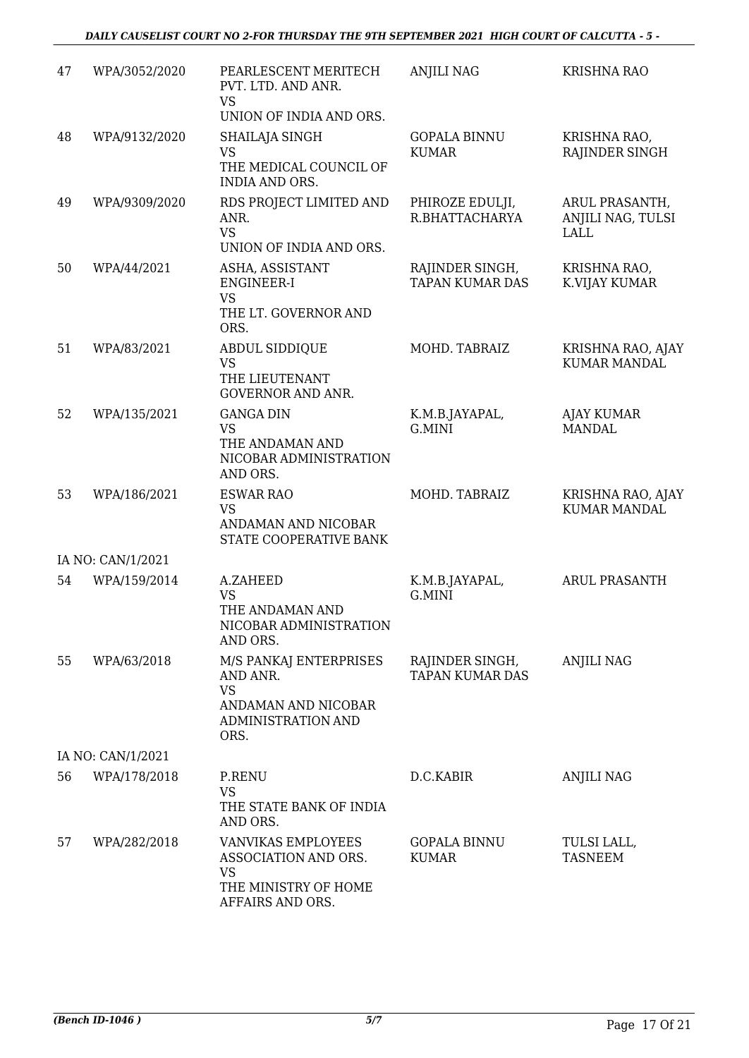| 47 | WPA/3052/2020     | PEARLESCENT MERITECH<br>PVT. LTD. AND ANR.<br><b>VS</b>                                              | <b>ANJILI NAG</b>                         | <b>KRISHNA RAO</b>                                 |
|----|-------------------|------------------------------------------------------------------------------------------------------|-------------------------------------------|----------------------------------------------------|
|    |                   | UNION OF INDIA AND ORS.                                                                              |                                           |                                                    |
| 48 | WPA/9132/2020     | SHAILAJA SINGH<br><b>VS</b><br>THE MEDICAL COUNCIL OF<br><b>INDIA AND ORS.</b>                       | <b>GOPALA BINNU</b><br><b>KUMAR</b>       | KRISHNA RAO,<br>RAJINDER SINGH                     |
| 49 | WPA/9309/2020     | RDS PROJECT LIMITED AND<br>ANR.<br><b>VS</b><br>UNION OF INDIA AND ORS.                              | PHIROZE EDULJI,<br>R.BHATTACHARYA         | ARUL PRASANTH,<br>ANJILI NAG, TULSI<br><b>LALL</b> |
| 50 | WPA/44/2021       | ASHA, ASSISTANT<br><b>ENGINEER-I</b><br><b>VS</b><br>THE LT. GOVERNOR AND<br>ORS.                    | RAJINDER SINGH,<br><b>TAPAN KUMAR DAS</b> | KRISHNA RAO,<br>K.VIJAY KUMAR                      |
| 51 | WPA/83/2021       | ABDUL SIDDIQUE<br><b>VS</b><br>THE LIEUTENANT<br><b>GOVERNOR AND ANR.</b>                            | MOHD. TABRAIZ                             | KRISHNA RAO, AJAY<br><b>KUMAR MANDAL</b>           |
| 52 | WPA/135/2021      | <b>GANGA DIN</b><br><b>VS</b><br>THE ANDAMAN AND<br>NICOBAR ADMINISTRATION<br>AND ORS.               | K.M.B.JAYAPAL,<br>G.MINI                  | <b>AJAY KUMAR</b><br><b>MANDAL</b>                 |
| 53 | WPA/186/2021      | <b>ESWAR RAO</b><br><b>VS</b><br>ANDAMAN AND NICOBAR<br>STATE COOPERATIVE BANK                       | MOHD. TABRAIZ                             | KRISHNA RAO, AJAY<br><b>KUMAR MANDAL</b>           |
|    | IA NO: CAN/1/2021 |                                                                                                      |                                           |                                                    |
| 54 | WPA/159/2014      | A.ZAHEED<br><b>VS</b><br>THE ANDAMAN AND<br>NICOBAR ADMINISTRATION<br>AND ORS.                       | K.M.B.JAYAPAL,<br>G.MINI                  | <b>ARUL PRASANTH</b>                               |
| 55 | WPA/63/2018       | M/S PANKAJ ENTERPRISES<br>AND ANR.<br><b>VS</b><br>ANDAMAN AND NICOBAR<br>ADMINISTRATION AND<br>ORS. | RAJINDER SINGH,<br><b>TAPAN KUMAR DAS</b> | ANJILI NAG                                         |
|    | IA NO: CAN/1/2021 |                                                                                                      |                                           |                                                    |
| 56 | WPA/178/2018      | P.RENU<br><b>VS</b><br>THE STATE BANK OF INDIA<br>AND ORS.                                           | D.C.KABIR                                 | ANJILI NAG                                         |
| 57 | WPA/282/2018      | VANVIKAS EMPLOYEES<br>ASSOCIATION AND ORS.<br><b>VS</b><br>THE MINISTRY OF HOME<br>AFFAIRS AND ORS.  | <b>GOPALA BINNU</b><br><b>KUMAR</b>       | TULSI LALL,<br><b>TASNEEM</b>                      |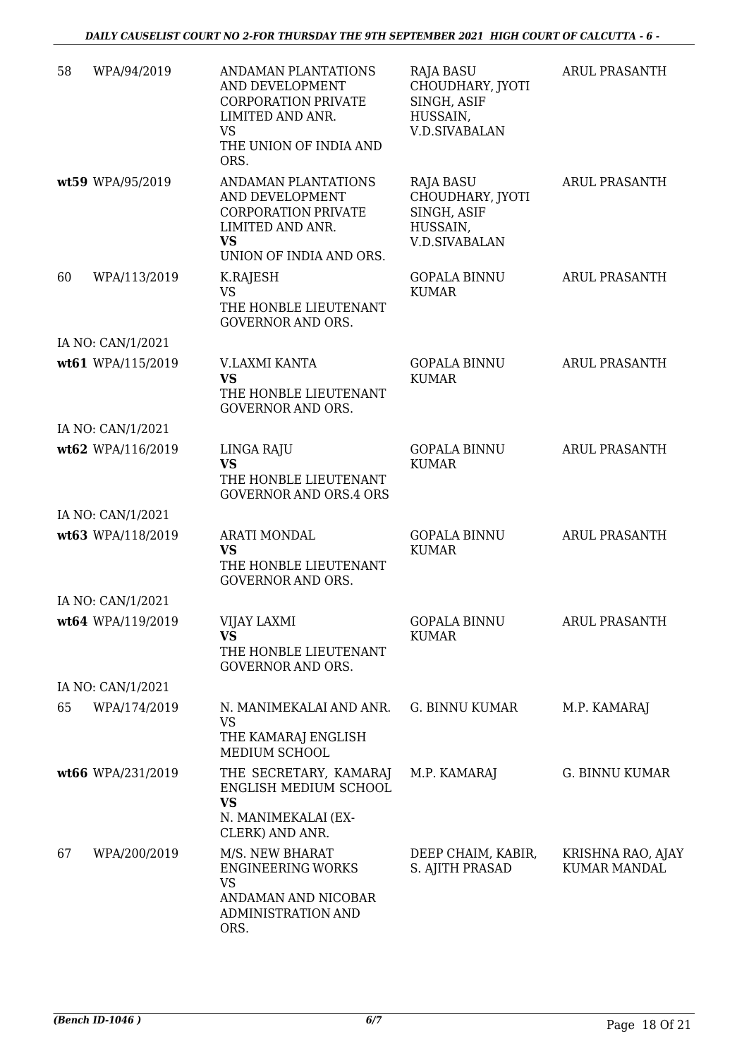| 58 | WPA/94/2019       | ANDAMAN PLANTATIONS<br>AND DEVELOPMENT<br><b>CORPORATION PRIVATE</b><br>LIMITED AND ANR.<br><b>VS</b><br>THE UNION OF INDIA AND<br>ORS. | <b>RAJA BASU</b><br>CHOUDHARY, JYOTI<br>SINGH, ASIF<br>HUSSAIN,<br><b>V.D.SIVABALAN</b> | <b>ARUL PRASANTH</b>                     |
|----|-------------------|-----------------------------------------------------------------------------------------------------------------------------------------|-----------------------------------------------------------------------------------------|------------------------------------------|
|    | wt59 WPA/95/2019  | ANDAMAN PLANTATIONS<br>AND DEVELOPMENT<br><b>CORPORATION PRIVATE</b><br>LIMITED AND ANR.<br><b>VS</b><br>UNION OF INDIA AND ORS.        | <b>RAJA BASU</b><br>CHOUDHARY, JYOTI<br>SINGH, ASIF<br>HUSSAIN,<br><b>V.D.SIVABALAN</b> | <b>ARUL PRASANTH</b>                     |
| 60 | WPA/113/2019      | K.RAJESH<br><b>VS</b><br>THE HONBLE LIEUTENANT<br><b>GOVERNOR AND ORS.</b>                                                              | <b>GOPALA BINNU</b><br><b>KUMAR</b>                                                     | <b>ARUL PRASANTH</b>                     |
|    | IA NO: CAN/1/2021 |                                                                                                                                         |                                                                                         |                                          |
|    | wt61 WPA/115/2019 | <b>V.LAXMI KANTA</b><br><b>VS</b><br>THE HONBLE LIEUTENANT<br><b>GOVERNOR AND ORS.</b>                                                  | <b>GOPALA BINNU</b><br><b>KUMAR</b>                                                     | <b>ARUL PRASANTH</b>                     |
|    | IA NO: CAN/1/2021 |                                                                                                                                         |                                                                                         |                                          |
|    | wt62 WPA/116/2019 | LINGA RAJU<br><b>VS</b><br>THE HONBLE LIEUTENANT<br><b>GOVERNOR AND ORS.4 ORS</b>                                                       | <b>GOPALA BINNU</b><br><b>KUMAR</b>                                                     | <b>ARUL PRASANTH</b>                     |
|    | IA NO: CAN/1/2021 |                                                                                                                                         |                                                                                         |                                          |
|    | wt63 WPA/118/2019 | <b>ARATI MONDAL</b><br><b>VS</b><br>THE HONBLE LIEUTENANT<br><b>GOVERNOR AND ORS.</b>                                                   | <b>GOPALA BINNU</b><br><b>KUMAR</b>                                                     | <b>ARUL PRASANTH</b>                     |
|    | IA NO: CAN/1/2021 |                                                                                                                                         |                                                                                         |                                          |
|    | wt64 WPA/119/2019 | VIJAY LAXMI<br><b>VS</b><br>THE HONBLE LIEUTENANT<br><b>GOVERNOR AND ORS.</b>                                                           | GOPALA BINNU<br>KUMAR                                                                   | ARUL PRASANTH                            |
|    | IA NO: CAN/1/2021 |                                                                                                                                         |                                                                                         |                                          |
| 65 | WPA/174/2019      | N. MANIMEKALAI AND ANR.<br><b>VS</b><br>THE KAMARAJ ENGLISH<br>MEDIUM SCHOOL                                                            | G. BINNU KUMAR                                                                          | M.P. KAMARAJ                             |
|    | wt66 WPA/231/2019 | THE SECRETARY, KAMARAJ<br>ENGLISH MEDIUM SCHOOL<br><b>VS</b><br>N. MANIMEKALAI (EX-<br>CLERK) AND ANR.                                  | M.P. KAMARAJ                                                                            | G. BINNU KUMAR                           |
| 67 | WPA/200/2019      | M/S. NEW BHARAT<br><b>ENGINEERING WORKS</b><br><b>VS</b><br>ANDAMAN AND NICOBAR<br>ADMINISTRATION AND<br>ORS.                           | DEEP CHAIM, KABIR,<br>S. AJITH PRASAD                                                   | KRISHNA RAO, AJAY<br><b>KUMAR MANDAL</b> |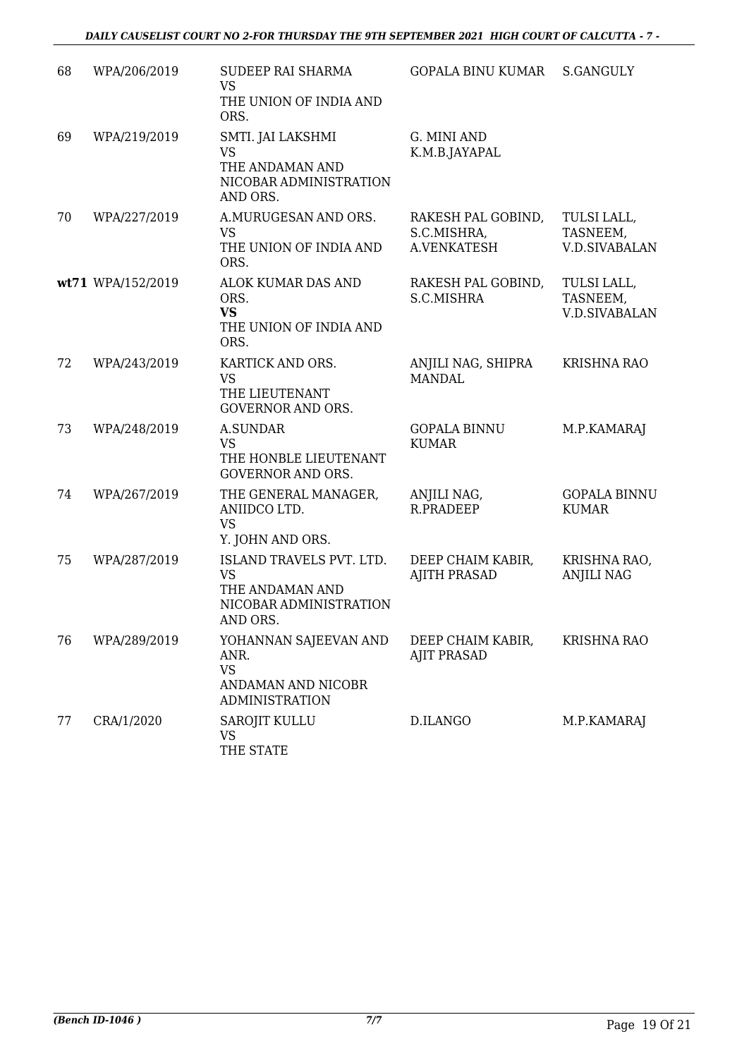| 68 | WPA/206/2019      | SUDEEP RAI SHARMA<br><b>VS</b><br>THE UNION OF INDIA AND<br>ORS.                               | <b>GOPALA BINU KUMAR</b>                         | S.GANGULY                                       |
|----|-------------------|------------------------------------------------------------------------------------------------|--------------------------------------------------|-------------------------------------------------|
| 69 | WPA/219/2019      | SMTI. JAI LAKSHMI<br><b>VS</b><br>THE ANDAMAN AND<br>NICOBAR ADMINISTRATION<br>AND ORS.        | G. MINI AND<br>K.M.B.JAYAPAL                     |                                                 |
| 70 | WPA/227/2019      | A.MURUGESAN AND ORS.<br><b>VS</b><br>THE UNION OF INDIA AND<br>ORS.                            | RAKESH PAL GOBIND,<br>S.C.MISHRA,<br>A.VENKATESH | TULSI LALL,<br>TASNEEM,<br><b>V.D.SIVABALAN</b> |
|    | wt71 WPA/152/2019 | ALOK KUMAR DAS AND<br>ORS.<br><b>VS</b><br>THE UNION OF INDIA AND<br>ORS.                      | RAKESH PAL GOBIND,<br>S.C.MISHRA                 | TULSI LALL,<br>TASNEEM,<br><b>V.D.SIVABALAN</b> |
| 72 | WPA/243/2019      | KARTICK AND ORS.<br><b>VS</b><br>THE LIEUTENANT<br><b>GOVERNOR AND ORS.</b>                    | ANJILI NAG, SHIPRA<br><b>MANDAL</b>              | <b>KRISHNA RAO</b>                              |
| 73 | WPA/248/2019      | A.SUNDAR<br><b>VS</b><br>THE HONBLE LIEUTENANT<br><b>GOVERNOR AND ORS.</b>                     | <b>GOPALA BINNU</b><br><b>KUMAR</b>              | M.P.KAMARAJ                                     |
| 74 | WPA/267/2019      | THE GENERAL MANAGER,<br>ANIIDCO LTD.<br><b>VS</b><br>Y. JOHN AND ORS.                          | ANJILI NAG,<br>R.PRADEEP                         | <b>GOPALA BINNU</b><br><b>KUMAR</b>             |
| 75 | WPA/287/2019      | ISLAND TRAVELS PVT. LTD.<br><b>VS</b><br>THE ANDAMAN AND<br>NICOBAR ADMINISTRATION<br>AND ORS. | DEEP CHAIM KABIR,<br><b>AJITH PRASAD</b>         | KRISHNA RAO,<br><b>ANJILI NAG</b>               |
| 76 | WPA/289/2019      | YOHANNAN SAJEEVAN AND<br>ANR.<br><b>VS</b><br>ANDAMAN AND NICOBR<br><b>ADMINISTRATION</b>      | DEEP CHAIM KABIR,<br><b>AJIT PRASAD</b>          | <b>KRISHNA RAO</b>                              |
| 77 | CRA/1/2020        | <b>SAROJIT KULLU</b><br><b>VS</b><br>THE STATE                                                 | D.ILANGO                                         | M.P.KAMARAJ                                     |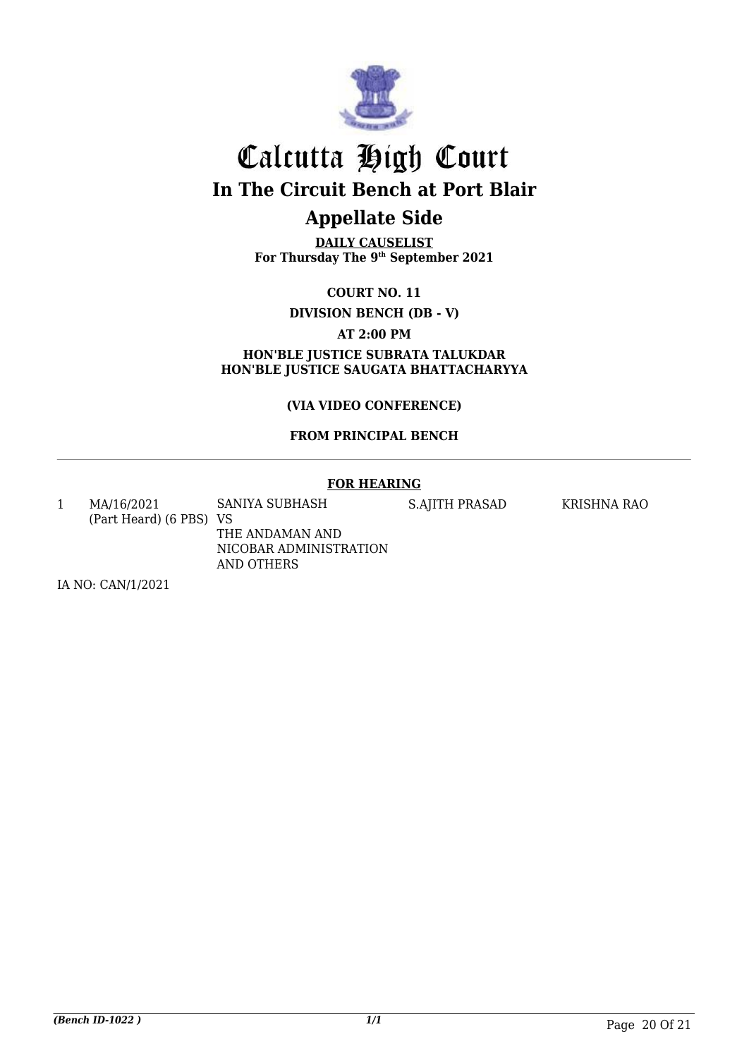

## Calcutta High Court **In The Circuit Bench at Port Blair**

## **Appellate Side**

**DAILY CAUSELIST For Thursday The 9th September 2021**

**COURT NO. 11**

**DIVISION BENCH (DB - V)** 

**AT 2:00 PM**

**HON'BLE JUSTICE SUBRATA TALUKDAR HON'BLE JUSTICE SAUGATA BHATTACHARYYA**

**(VIA VIDEO CONFERENCE)** 

**FROM PRINCIPAL BENCH**

#### **FOR HEARING**

1 MA/16/2021 (Part Heard) (6 PBS) VS SANIYA SUBHASH S.AJITH PRASAD KRISHNA RAO

THE ANDAMAN AND NICOBAR ADMINISTRATION AND OTHERS

IA NO: CAN/1/2021